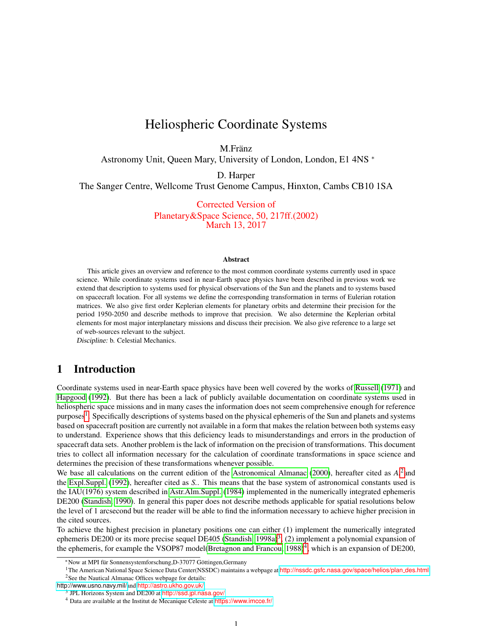# Heliospheric Coordinate Systems

M.Fränz

Astronomy Unit, Queen Mary, University of London, London, E1 4NS <sup>∗</sup>

D. Harper

The Sanger Centre, Wellcome Trust Genome Campus, Hinxton, Cambs CB10 1SA

Corrected Version of Planetary&Space Science, 50, 217ff.(2002) March 13, 2017

#### **Abstract**

This article gives an overview and reference to the most common coordinate systems currently used in space science. While coordinate systems used in near-Earth space physics have been described in previous work we extend that description to systems used for physical observations of the Sun and the planets and to systems based on spacecraft location. For all systems we define the corresponding transformation in terms of Eulerian rotation matrices. We also give first order Keplerian elements for planetary orbits and determine their precision for the period 1950-2050 and describe methods to improve that precision. We also determine the Keplerian orbital elements for most major interplanetary missions and discuss their precision. We also give reference to a large set of web-sources relevant to the subject.

Discipline: b. Celestial Mechanics.

## 1 Introduction

Coordinate systems used in near-Earth space physics have been well covered by the works of [Russell](#page-23-0) [\(1971\)](#page-23-0) and [Hapgood](#page-22-0) [\(1992\)](#page-22-0). But there has been a lack of publicly available documentation on coordinate systems used in heliospheric space missions and in many cases the information does not seem comprehensive enough for reference purposes<sup>[1](#page-0-0)</sup>. Specifically descriptions of systems based on the physical ephemeris of the Sun and planets and systems based on spacecraft position are currently not available in a form that makes the relation between both systems easy to understand. Experience shows that this deficiency leads to misunderstandings and errors in the production of spacecraft data sets. Another problem is the lack of information on the precision of transformations. This document tries to collect all information necessary for the calculation of coordinate transformations in space science and determines the precision of these transformations whenever possible.

We base all calculations on the current edition of the [Astronomical Almanac](#page-22-1) [\(2000\)](#page-22-1), hereafter cited as A.<sup>[2](#page-0-1)</sup> and the [Expl.Suppl.](#page-22-2) [\(1992\)](#page-22-2), hereafter cited as *S.*. This means that the base system of astronomical constants used is the IAU(1976) system described in [Astr.Alm.Suppl.](#page-22-3) [\(1984\)](#page-22-3) implemented in the numerically integrated ephemeris DE200 [\(Standish, 1990\)](#page-23-1). In general this paper does not describe methods applicable for spatial resolutions below the level of 1 arcsecond but the reader will be able to find the information necessary to achieve higher precision in the cited sources.

To achieve the highest precision in planetary positions one can either (1) implement the numerically integrated ephemeris DE200 or its more precise sequel DE405 [\(Standish, 1998a\)](#page-23-2)<sup>[3](#page-0-2)</sup>, (2) implement a polynomial expansion of the ephemeris, for example the VSOP87 model[\(Bretagnon and Francou, 1988\)](#page-22-4)<sup>[4](#page-0-3)</sup>, which is an expansion of DE200,

<span id="page-0-0"></span><sup>\*</sup>Now at MPI für Sonnensystemforschung,D-37077 Göttingen,Germany

<span id="page-0-1"></span><sup>&</sup>lt;sup>1</sup>The American National Space Science Data Center(NSSDC) maintains a webpage at [http://nssdc.gsfc.nasa.gov/space/helios/plan](http://nssdc.gsfc.nasa.gov/space/helios/plan_des.html)\_des.html <sup>2</sup>See the Nautical Almanac Offices webpage for details:

<http://www.usno.navy.mil/>and <http://astro.ukho.gov.uk/>

<span id="page-0-2"></span><sup>&</sup>lt;sup>3</sup> JPL Horizons System and DE200 at <http://ssd.jpl.nasa.gov/>

<span id="page-0-3"></span><sup>4</sup> Data are available at the Institut de Mecanique Celeste at <https://www.imcce.fr/>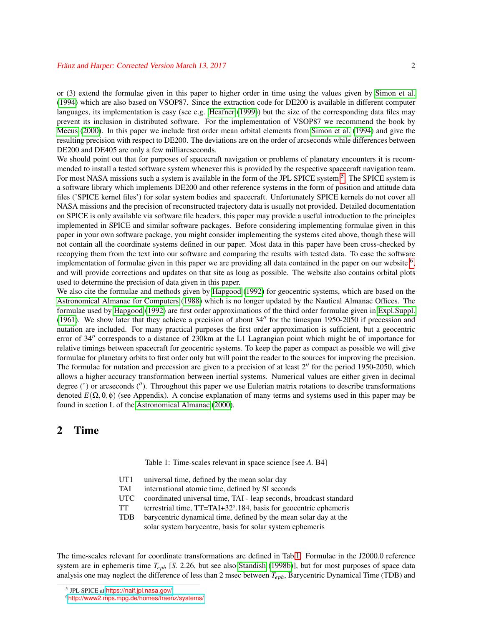or (3) extend the formulae given in this paper to higher order in time using the values given by [Simon et al.](#page-23-3) [\(1994\)](#page-23-3) which are also based on VSOP87. Since the extraction code for DE200 is available in different computer languages, its implementation is easy (see e.g. [Heafner](#page-22-5) [\(1999\)](#page-22-5)) but the size of the corresponding data files may prevent its inclusion in distributed software. For the implementation of VSOP87 we recommend the book by [Meeus](#page-23-4) [\(2000\)](#page-23-4). In this paper we include first order mean orbital elements from [Simon et al.](#page-23-3) [\(1994\)](#page-23-3) and give the resulting precision with respect to DE200. The deviations are on the order of arcseconds while differences between DE200 and DE405 are only a few milliarcseconds.

We should point out that for purposes of spacecraft navigation or problems of planetary encounters it is recommended to install a tested software system whenever this is provided by the respective spacecraft navigation team. For most NASA missions such a system is available in the form of the JPL SPICE system <sup>[5](#page-1-0)</sup>. The SPICE system is a software library which implements DE200 and other reference systems in the form of position and attitude data files ('SPICE kernel files') for solar system bodies and spacecraft. Unfortunately SPICE kernels do not cover all NASA missions and the precision of reconstructed trajectory data is usually not provided. Detailed documentation on SPICE is only available via software file headers, this paper may provide a useful introduction to the principles implemented in SPICE and similar software packages. Before considering implementing formulae given in this paper in your own software package, you might consider implementing the systems cited above, though these will not contain all the coordinate systems defined in our paper. Most data in this paper have been cross-checked by recopying them from the text into our software and comparing the results with tested data. To ease the software implementation of formulae given in this paper we are providing all data contained in the paper on our website  $6$ , and will provide corrections and updates on that site as long as possible. The website also contains orbital plots used to determine the precision of data given in this paper.

We also cite the formulae and methods given by [Hapgood](#page-22-0) [\(1992\)](#page-22-0) for geocentric systems, which are based on the [Astronomical Almanac for Computers](#page-22-6) [\(1988\)](#page-22-6) which is no longer updated by the Nautical Almanac Offices. The formulae used by [Hapgood](#page-22-0) [\(1992\)](#page-22-0) are first order approximations of the third order formulae given in [Expl.Suppl.](#page-22-7) [\(1961\)](#page-22-7). We show later that they achieve a precision of about  $34''$  for the timespan 1950-2050 if precession and nutation are included. For many practical purposes the first order approximation is sufficient, but a geocentric error of 34" corresponds to a distance of 230km at the L1 Lagrangian point which might be of importance for relative timings between spacecraft for geocentric systems. To keep the paper as compact as possible we will give formulae for planetary orbits to first order only but will point the reader to the sources for improving the precision. The formulae for nutation and precession are given to a precision of at least  $2<sup>''</sup>$  for the period 1950-2050, which allows a higher accuracy transformation between inertial systems. Numerical values are either given in decimal degree  $(°)$  or arcseconds  $('')$ . Throughout this paper we use Eulerian matrix rotations to describe transformations denoted  $E(\Omega, \theta, \phi)$  (see Appendix). A concise explanation of many terms and systems used in this paper may be found in section L of the [Astronomical Almanac](#page-22-1) [\(2000\)](#page-22-1).

## 2 Time

<span id="page-1-2"></span>Table 1: Time-scales relevant in space science [see *A.* B4]

- UT1 universal time, defined by the mean solar day
- TAI international atomic time, defined by SI seconds
- UTC coordinated universal time, TAI leap seconds, broadcast standard
- TT terrestrial time, TT=TAI+32*<sup>s</sup>* .184, basis for geocentric ephemeris
- TDB barycentric dynamical time, defined by the mean solar day at the
	- solar system barycentre, basis for solar system ephemeris

The time-scales relevant for coordinate transformations are defined in Tab[.1.](#page-1-2) Formulae in the J2000.0 reference system are in ephemeris time *Teph* [*S.* 2.26, but see also [Standish](#page-23-5) [\(1998b\)](#page-23-5)], but for most purposes of space data analysis one may neglect the difference of less than 2 msec between *Teph*, Barycentric Dynamical Time (TDB) and

<span id="page-1-0"></span><sup>5</sup> JPL SPICE at <https://naif.jpl.nasa.gov/>

<span id="page-1-1"></span><sup>6</sup><http://www2.mps.mpg.de/homes/fraenz/systems/>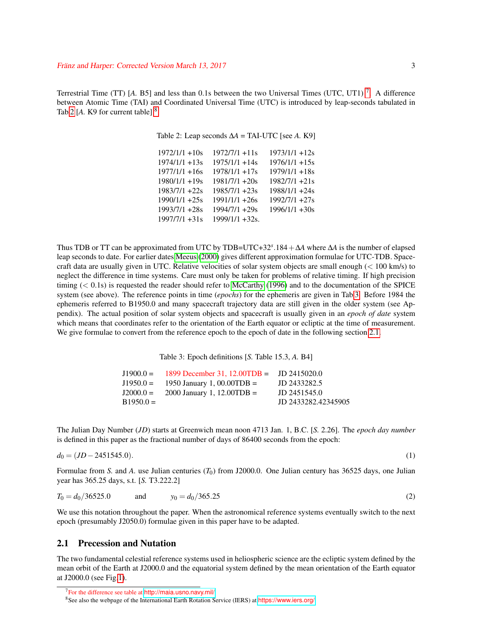Terrestrial Time (TT) [A. B5] and less than 0.1s between the two Universal Times (UTC, UT1)<sup>[7](#page-2-0)</sup>. A difference between Atomic Time (TAI) and Coordinated Universal Time (UTC) is introduced by leap-seconds tabulated in Tab[.2](#page-2-1)  $[A, K9]$  for current table]  $8$ .

<span id="page-2-1"></span>Table 2: Leap seconds ∆*A* = TAI-UTC [see *A.* K9]

| $1972/1/1 + 10s$ | $1972/7/1 + 11s$ | $1973/1/1 + 12s$ |
|------------------|------------------|------------------|
| $1974/1/1 + 13s$ | $1975/1/1 + 14s$ | $1976/1/1 + 15s$ |
| $1977/1/1 + 16s$ | $1978/1/1 + 17s$ | $1979/1/1 + 18s$ |
| $1980/1/1 + 19s$ | $1981/7/1 + 20s$ | $1982/7/1 + 21s$ |
| $1983/7/1 + 22s$ | $1985/7/1 + 23s$ | $1988/1/1 + 24s$ |
| $1990/1/1 + 25s$ | $1991/1/1 + 26s$ | 1992/7/1 +27s    |
| $1993/7/1 + 28s$ | 1994/7/1 +29s    | $1996/1/1 + 30s$ |
| $1997/7/1 + 31s$ | 1999/1/1 +32s.   |                  |
|                  |                  |                  |

Thus TDB or TT can be approximated from UTC by TDB=UTC+32*<sup>s</sup>* .184+∆*A* where ∆*A* is the number of elapsed leap seconds to date. For earlier dates [Meeus](#page-23-4) [\(2000\)](#page-23-4) gives different approximation formulae for UTC-TDB. Spacecraft data are usually given in UTC. Relative velocities of solar system objects are small enough (< 100 km/s) to neglect the difference in time systems. Care must only be taken for problems of relative timing. If high precision timing  $( $0.1$ s) is requested the reader should refer to [McCarthy](#page-23-6) [\(1996\)](#page-23-6) and to the documentation of the SPICE$ system (see above). The reference points in time (*epochs*) for the ephemeris are given in Tab[.3.](#page-2-3) Before 1984 the ephemeris referred to B1950.0 and many spacecraft trajectory data are still given in the older system (see Appendix). The actual position of solar system objects and spacecraft is usually given in an *epoch of date* system which means that coordinates refer to the orientation of the Earth equator or ecliptic at the time of measurement. We give formulae to convert from the reference epoch to the epoch of date in the following section [2.1.](#page-2-4)

<span id="page-2-3"></span>Table 3: Epoch definitions [*S.* Table 15.3, *A.* B4]

<span id="page-2-6"></span>

|            | $J1900.0 = 1899$ December 31, 12.00TDB = JD 2415020.0 |                     |
|------------|-------------------------------------------------------|---------------------|
|            | $J1950.0 = 1950$ January 1, 00.00TDB =                | JD 2433282.5        |
|            | $J2000.0 = 2000$ January 1, 12.00TDB =                | JD 2451545.0        |
| $B1950.0=$ |                                                       | JD 2433282.42345905 |

The Julian Day Number (*JD*) starts at Greenwich mean noon 4713 Jan. 1, B.C. [*S.* 2.26]. The *epoch day number* is defined in this paper as the fractional number of days of 86400 seconds from the epoch:

$$
d_0 = (JD - 2451545.0). \tag{1}
$$

<span id="page-2-5"></span>

Formulae from *S.* and *A.* use Julian centuries (*T*0) from J2000.0. One Julian century has 36525 days, one Julian year has 365.25 days, s.t. [*S.* T3.222.2]

$$
T_0 = d_0/36525.0 \qquad \text{and} \qquad y_0 = d_0/365.25 \tag{2}
$$

We use this notation throughout the paper. When the astronomical reference systems eventually switch to the next epoch (presumably J2050.0) formulae given in this paper have to be adapted.

### <span id="page-2-4"></span>2.1 Precession and Nutation

The two fundamental celestial reference systems used in heliospheric science are the ecliptic system defined by the mean orbit of the Earth at J2000.0 and the equatorial system defined by the mean orientation of the Earth equator at J2000.0 (see Fig[.1\)](#page-4-0).

<span id="page-2-0"></span><sup>7</sup>For the difference see table at [http://maia.usno.navy.mil/]( http://maia.usno.navy.mil/)

<span id="page-2-2"></span><sup>8</sup>See also the webpage of the International Earth Rotation Service (IERS) at <https://www.iers.org/>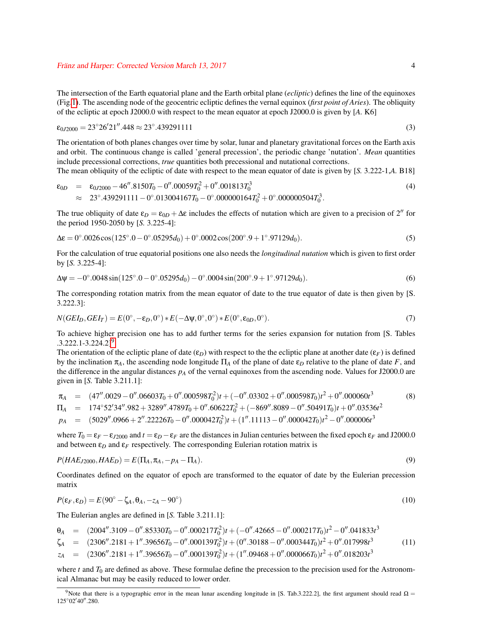The intersection of the Earth equatorial plane and the Earth orbital plane (*ecliptic*) defines the line of the equinoxes (Fig[.1\)](#page-4-0). The ascending node of the geocentric ecliptic defines the vernal equinox (*first point of Aries*). The obliquity of the ecliptic at epoch J2000.0 with respect to the mean equator at epoch J2000.0 is given by [*A.* K6]

$$
\epsilon_{0J2000} = 23^{\circ}26'21''.448 \approx 23^{\circ}.439291111
$$
\n(3)

The orientation of both planes changes over time by solar, lunar and planetary gravitational forces on the Earth axis and orbit. The continuous change is called 'general precession', the periodic change 'nutation'. *Mean* quantities include precessional corrections, *true* quantities both precessional and nutational corrections.

The mean obliquity of the ecliptic of date with respect to the mean equator of date is given by [*S.* 3.222-1,*A.* B18]

<span id="page-3-4"></span> $\lambda$ 

$$
\epsilon_{0D} = \epsilon_{0J2000} - 46''.8150T_0 - 0''.00059T_0^2 + 0''.001813T_0^3
$$
\n
$$
\approx 23^\circ.439291111 - 0^\circ.013004167T_0 - 0^\circ.000000164T_0^2 + 0^\circ.000000504T_0^3. \tag{4}
$$

The true obliquity of date  $\varepsilon_D = \varepsilon_{0D} + \Delta \varepsilon$  includes the effects of nutation which are given to a precision of 2<sup>n</sup> for the period 1950-2050 by [*S.* 3.225-4]:

$$
\Delta \varepsilon = 0^{\circ}.0026 \cos(125^{\circ}.0 - 0^{\circ}.05295d_0) + 0^{\circ}.0002 \cos(200^{\circ}.9 + 1^{\circ}.97129d_0). \tag{5}
$$

For the calculation of true equatorial positions one also needs the *longitudinal nutation* which is given to first order by [*S.* 3.225-4]:

$$
\Delta \psi = -0^{\circ}.0048 \sin(125^{\circ}.0 - 0^{\circ}.05295d_0) - 0^{\circ}.0004 \sin(200^{\circ}.9 + 1^{\circ}.97129d_0). \tag{6}
$$

<span id="page-3-2"></span>The corresponding rotation matrix from the mean equator of date to the true equator of date is then given by [S. 3.222.3]:

$$
N(GEI_D, GEI_T) = E(0^\circ, -\varepsilon_D, 0^\circ) * E(-\Delta \psi, 0^\circ, 0^\circ) * E(0^\circ, \varepsilon_{0D}, 0^\circ).
$$
\n<sup>(7)</sup>

To achieve higher precision one has to add further terms for the series expansion for nutation from [S. Tables .3.222.1-3.224.2][9](#page-3-0) .

The orientation of the ecliptic plane of date  $(\epsilon_p)$  with respect to the the ecliptic plane at another date  $(\epsilon_F)$  is defined by the inclination  $π_A$ , the ascending node longitude  $\Pi_A$  of the plane of date  $ε_D$  relative to the plane of date *F*, and the difference in the angular distances  $p_A$  of the vernal equinoxes from the ascending node. Values for J2000.0 are given in [*S.* Table 3.211.1]:

$$
\pi_A = (47''.0029 - 0''.06603T_0 + 0''.000598T_0^2)t + (-0''.03302 + 0''.000598T_0)t^2 + 0''.00060t^3
$$
\n
$$
\Pi_A = 174^\circ 52'34''.982 + 3289''.4789T_0 + 0''.60622T_0^2 + (-869''.889 - 0''.50491T_0)t + 0''.03536t^2
$$
\n
$$
p_A = (5029''.0966 + 2''.22226T_0 - 0''.00042T_0^2)t + (1''.11113 - 0''.000042T_0)t^2 - 0''.000006t^3
$$
\n(8)

<span id="page-3-3"></span>000 million

where  $T_0 = \varepsilon_F - \varepsilon_{I2000}$  and  $t = \varepsilon_D - \varepsilon_F$  are the distances in Julian centuries between the fixed epoch  $\varepsilon_F$  and J2000.0 and between  $\varepsilon_D$  and  $\varepsilon_F$  respectively. The corresponding Eulerian rotation matrix is

$$
P(HAE_{J2000}, HAE_D) = E(\Pi_A, \pi_A, -p_A - \Pi_A). \tag{9}
$$

<span id="page-3-1"></span>Coordinates defined on the equator of epoch are transformed to the equator of date by the Eulerian precession matrix

$$
P(\varepsilon_F, \varepsilon_D) = E(90^\circ - \zeta_A, \theta_A, -z_A - 90^\circ) \tag{10}
$$

The Eulerian angles are defined in [*S.* Table 3.211.1]:

- $\theta_A$  = (2004''.3109 0''.85330*T*<sub>0</sub> 0''.000217*T*<sub>0</sub><sup>2</sup>)*t* + (−0''.42665 0''.000217*T*<sub>0</sub>)*t*<sup>2</sup> 0''.041833*t*<sup>3</sup>
- $\zeta_A$  =  $(2306''.2181 + 1''.39656T_0 0''.000139T_0^2)t + (0''.30188 0''.000344T_0)t^2 + 0''.017998t^3$ (11)
- $z_A$  =  $(2306''.2181 + 1''.39656T_0 0''.000139T_0^2)t + (1''.09468 + 0''.000066T_0)t^2 + 0''.018203t^3$

where  $t$  and  $T_0$  are defined as above. These formulae define the precession to the precision used for the Astronomical Almanac but may be easily reduced to lower order.

<span id="page-3-0"></span><sup>&</sup>lt;sup>9</sup>Note that there is a typographic error in the mean lunar ascending longitude in [S. Tab.3.222.2], the first argument should read  $\Omega$  = 125°02'40".280.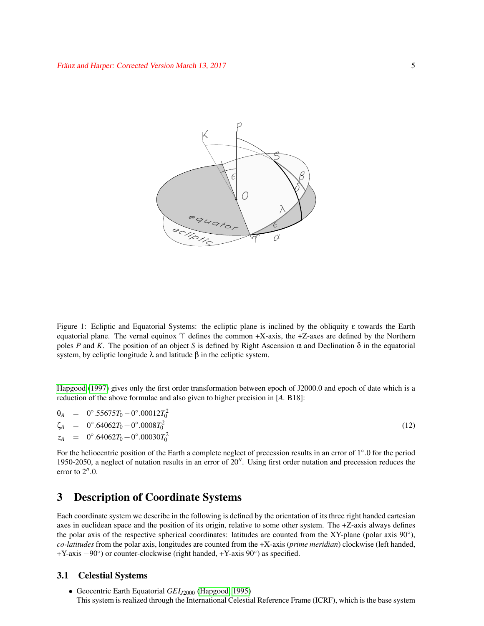

<span id="page-4-0"></span>Figure 1: Ecliptic and Equatorial Systems: the ecliptic plane is inclined by the obliquity ε towards the Earth equatorial plane. The vernal equinox  $\Upsilon$  defines the common +X-axis, the +Z-axes are defined by the Northern poles *P* and *K*. The position of an object *S* is defined by Right Ascension  $\alpha$  and Declination  $\delta$  in the equatorial system, by ecliptic longitude  $λ$  and latitude  $β$  in the ecliptic system.

[Hapgood](#page-22-8) [\(1997\)](#page-22-8) gives only the first order transformation between epoch of J2000.0 and epoch of date which is a reduction of the above formulae and also given to higher precision in [*A.* B18]:

 $\theta_A = 0^\circ .55675T_0 - 0^\circ .00012T_0^2$  $\zeta_A$  = 0°.64062 $T_0$  + 0°.0008 $T_0^2$ (12)  $z_A$  = 0°.64062*T*<sub>0</sub> + 0°.00030*T*<sub>0</sub><sup>2</sup>

For the heliocentric position of the Earth a complete neglect of precession results in an error of 1◦ .0 for the period 1950-2050, a neglect of nutation results in an error of  $20''$ . Using first order nutation and precession reduces the error to  $2^{\prime\prime}.0$ .

# 3 Description of Coordinate Systems

Each coordinate system we describe in the following is defined by the orientation of its three right handed cartesian axes in euclidean space and the position of its origin, relative to some other system. The +Z-axis always defines the polar axis of the respective spherical coordinates: latitudes are counted from the XY-plane (polar axis 90°), *co-latitudes* from the polar axis, longitudes are counted from the +X-axis (*prime meridian*) clockwise (left handed, +Y-axis −90◦ ) or counter-clockwise (right handed, +Y-axis 90◦ ) as specified.

#### 3.1 Celestial Systems

• Geocentric Earth Equatorial *GEIJ*<sup>2000</sup> [\(Hapgood, 1995\)](#page-22-9) This system is realized through the International Celestial Reference Frame (ICRF), which is the base system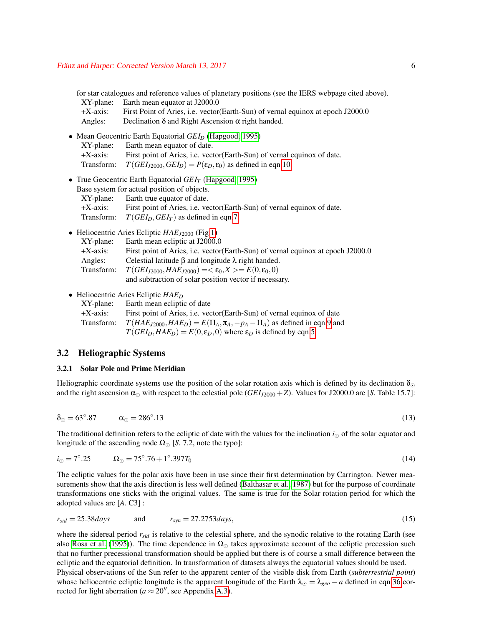for star catalogues and reference values of planetary positions (see the IERS webpage cited above). XY-plane: Earth mean equator at J2000.0

| +X-axis: | First Point of Aries, i.e. vector (Earth-Sun) of vernal equinox at epoch J2000.0 |
|----------|----------------------------------------------------------------------------------|
| Angles:  | Declination $\delta$ and Right Ascension $\alpha$ right handed.                  |

- Mean Geocentric Earth Equatorial *GEI*<sub>*D*</sub> [\(Hapgood, 1995\)](#page-22-9)
	- XY-plane: Earth mean equator of date. +X-axis: First point of Aries, i.e. vector(Earth-Sun) of vernal equinox of date. Transform:  $T(GEI_{J2000}, GEI_D) = P(\epsilon_D, \epsilon_0)$  as defined in eqn[.10.](#page-3-1)
- True Geocentric Earth Equatorial *GEI<sup>T</sup>* [\(Hapgood, 1995\)](#page-22-9) Base system for actual position of objects. XY-plane: Earth true equator of date. +X-axis: First point of Aries, i.e. vector(Earth-Sun) of vernal equinox of date.
	- Transform:  $T(GEI_D, GEI_T)$  as defined in eqn[.7.](#page-3-2)
- Heliocentric Aries Ecliptic *HAEJ*<sup>2000</sup> (Fig[.1\)](#page-4-0)

| XY-plane:   | Earth mean ecliptic at J2000.0                                                   |
|-------------|----------------------------------------------------------------------------------|
| $+X$ -axis: | First point of Aries, i.e. vector (Earth-Sun) of vernal equinox at epoch J2000.0 |
| Angles:     | Celestial latitude $\beta$ and longitude $\lambda$ right handed.                 |
| Transform:  | $T(GEI_{J2000}, HAE_{J2000}) = \epsilon_0, X \ge E(0, \epsilon_0, 0)$            |
|             | and subtraction of solar position vector if necessary.                           |

• Heliocentric Aries Ecliptic *HAE<sup>D</sup>*

| $XY$ -plane: | Earth mean ecliptic of date                                                           |
|--------------|---------------------------------------------------------------------------------------|
| $+X$ -axis:  | First point of Aries, <i>i.e.</i> vector (Earth-Sun) of vernal equinox of date        |
| Transform:   | $T(HAE_{J2000}, HAE_D) = E(\Pi_A, \pi_A, -p_A - \Pi_A)$ as defined in eqn.9 and       |
|              | $T(GEI_D, HAE_D) = E(0, \varepsilon_D, 0)$ where $\varepsilon_D$ is defined by eqn.5. |

#### 3.2 Heliographic Systems

#### 3.2.1 Solar Pole and Prime Meridian

<span id="page-5-0"></span>Heliographic coordinate systems use the position of the solar rotation axis which is defined by its declination  $\delta_{\odot}$ and the right ascension  $\alpha_{\odot}$  with respect to the celestial pole (*GEI*<sub>*J*2000</sub> + *Z*). Values for J2000.0 are [*S.* Table 15.7]:

$$
\delta_{\odot} = 63^{\circ}.87 \qquad \alpha_{\odot} = 286^{\circ}.13 \tag{13}
$$

<span id="page-5-1"></span>The traditional definition refers to the ecliptic of date with the values for the inclination  $i_{\odot}$  of the solar equator and longitude of the ascending node  $\Omega_{\odot}$  [S. 7.2, note the typo]:

$$
i_{\odot} = 7^{\circ}.25 \qquad \Omega_{\odot} = 75^{\circ}.76 + 1^{\circ}.397T_0 \tag{14}
$$

The ecliptic values for the polar axis have been in use since their first determination by Carrington. Newer measurements show that the axis direction is less well defined [\(Balthasar et al., 1987\)](#page-22-10) but for the purpose of coordinate transformations one sticks with the original values. The same is true for the Solar rotation period for which the adopted values are [*A.* C3] :

$$
r_{sid} = 25.38 \, days \qquad \text{and} \qquad r_{syn} = 27.2753 \, days, \tag{15}
$$

where the sidereal period  $r_{sid}$  is relative to the celestial sphere, and the synodic relative to the rotating Earth (see also [Rosa et al.](#page-23-7) [\(1995\)](#page-23-7)). The time dependence in  $\Omega_{\odot}$  takes approximate account of the ecliptic precession such that no further precessional transformation should be applied but there is of course a small difference between the ecliptic and the equatorial definition. In transformation of datasets always the equatorial values should be used. Physical observations of the Sun refer to the apparent center of the visible disk from Earth (*subterrestrial point*) whose heliocentric ecliptic longitude is the apparent longitude of the Earth  $\lambda_{\odot} = \lambda_{geo} - a$  defined in eqn[.36](#page-13-0) corrected for light aberration ( $a \approx 20''$ , see Appendix [A.3\)](#page-19-0).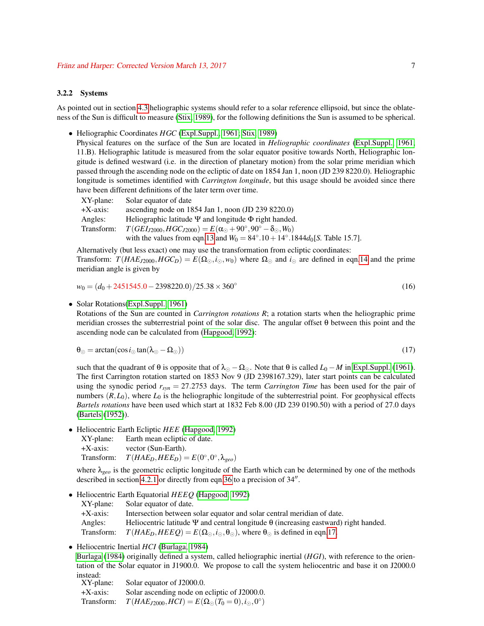#### <span id="page-6-1"></span>3.2.2 Systems

As pointed out in section [4.3](#page-14-0) heliographic systems should refer to a solar reference ellipsoid, but since the oblateness of the Sun is difficult to measure [\(Stix, 1989\)](#page-23-8), for the following definitions the Sun is assumed to be spherical.

• Heliographic Coordinates *HGC* [\(Expl.Suppl., 1961;](#page-22-7) [Stix, 1989\)](#page-23-8)

Physical features on the surface of the Sun are located in *Heliographic coordinates* [\(Expl.Suppl., 1961,](#page-22-7) 11.B). Heliographic latitude is measured from the solar equator positive towards North, Heliographic longitude is defined westward (i.e. in the direction of planetary motion) from the solar prime meridian which passed through the ascending node on the ecliptic of date on 1854 Jan 1, noon (JD 239 8220.0). Heliographic longitude is sometimes identified with *Carrington longitude*, but this usage should be avoided since there have been different definitions of the later term over time.

| Solar equator of date                                                                            |
|--------------------------------------------------------------------------------------------------|
| ascending node on $1854$ Jan 1, noon (JD 239 8220.0)                                             |
| Heliographic latitude $\Psi$ and longitude $\Phi$ right handed.                                  |
| $T(GEI_{J2000}, HGC_{J2000}) = E(\alpha_{\odot} + 90^{\circ}, 90^{\circ} - \delta_{\odot}, W_0)$ |
| with the values from eqn.13 and $W_0 = 84^{\circ}.10 + 14^{\circ}.1844d_0[S$ . Table 15.7].      |
|                                                                                                  |

Alternatively (but less exact) one may use the transformation from ecliptic coordinates:

Transform:  $T(HAE_{J2000}, HGC_D) = E(\Omega_{\odot}, i_{\odot}, w_0)$  where  $\Omega_{\odot}$  and  $i_{\odot}$  are defined in eqn[.14](#page-5-1) and the prime meridian angle is given by

$$
w_0 = (d_0 + 2451545.0 - 2398220.0)/25.38 \times 360^\circ
$$
\n(16)

• Solar Rotations[\(Expl.Suppl., 1961\)](#page-22-7)

<span id="page-6-0"></span>Rotations of the Sun are counted in *Carrington rotations R*; a rotation starts when the heliographic prime meridian crosses the subterrestrial point of the solar disc. The angular offset θ between this point and the ascending node can be calculated from [\(Hapgood, 1992\)](#page-22-0):

$$
\theta_{\odot} = \arctan(\cos i_{\odot} \tan(\lambda_{\odot} - \Omega_{\odot})) \tag{17}
$$

such that the quadrant of  $\theta$  is opposite that of  $\lambda_{\odot} - \Omega_{\odot}$ . Note that  $\theta$  is called *L*<sub>0</sub> − *M* in [Expl.Suppl.](#page-22-7) [\(1961\)](#page-22-7). The first Carrington rotation started on 1853 Nov 9 (JD 2398167.329), later start points can be calculated using the synodic period  $r_{syn} = 27.2753$  days. The term *Carrington Time* has been used for the pair of numbers  $(R, L_0)$ , where  $L_0$  is the heliographic longitude of the subterrestrial point. For geophysical effects *Bartels rotations* have been used which start at 1832 Feb 8.00 (JD 239 0190.50) with a period of 27.0 days [\(Bartels](#page-22-11) [\(1952\)](#page-22-11)).

• Heliocentric Earth Ecliptic *HEE* [\(Hapgood, 1992\)](#page-22-0)

| XY-plane:   | Earth mean ecliptic of date.                           |
|-------------|--------------------------------------------------------|
| $+X$ -axis: | vector (Sun-Earth).                                    |
| Transform:  | $T(HAE_D, HEE_D) = E(0^\circ, 0^\circ, \lambda_{geo})$ |

where λ*geo* is the geometric ecliptic longitude of the Earth which can be determined by one of the methods described in section [4.2.1](#page-13-1) or directly from eqn[.36](#page-13-0) to a precision of  $34$ ".

• Heliocentric Earth Equatorial *HEEQ* [\(Hapgood, 1992\)](#page-22-0)

XY-plane: Solar equator of date. +X-axis: Intersection between solar equator and solar central meridian of date. Angles: Heliocentric latitude Ψ and central longitude θ (increasing eastward) right handed. Transform:  $T(HAE_D, HEEQ) = E(\Omega_{\odot}, i_{\odot}, \theta_{\odot})$ , where  $\theta_{\odot}$  is defined in eqn[.17.](#page-6-0)

• Heliocentric Inertial *HCI* [\(Burlaga, 1984\)](#page-22-12)

[Burlaga](#page-22-12) [\(1984\)](#page-22-12) originally defined a system, called heliographic inertial (*HGI*), with reference to the orientation of the Solar equator in J1900.0. We propose to call the system heliocentric and base it on J2000.0

instead:<br>XY-plane: Solar equator of J2000.0. +X-axis: Solar ascending node on ecliptic of J2000.0. Transform:  $T(HAE_{J2000}, HCI) = E(\Omega_{\odot}(T_0 = 0), i_{\odot}, 0^{\circ})$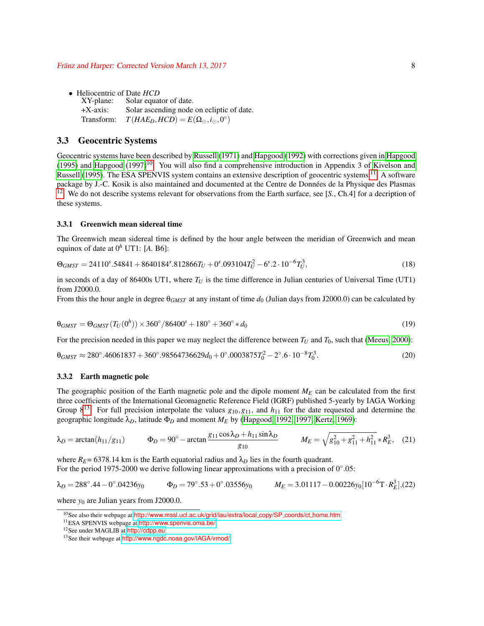• Heliocentric of Date *HCD*<br>XY-plane: Solar equal Solar equator of date. +X-axis: Solar ascending node on ecliptic of date. Transform:  $T(HAE_D, HCD) = E(\Omega_{\odot}, i_{\odot}, 0^{\circ})$ 

#### 3.3 Geocentric Systems

Geocentric systems have been described by [Russell](#page-23-0) [\(1971\)](#page-23-0) and [Hapgood](#page-22-0) [\(1992\)](#page-22-0) with corrections given in [Hapgood](#page-22-9) [\(1995\)](#page-22-9) and [Hapgood](#page-22-8) [\(1997\)](#page-22-8)<sup>[10](#page-7-0)</sup>. You will also find a comprehensive introduction in Appendix 3 of [Kivelson and](#page-22-13) [Russell](#page-22-13) [\(1995\)](#page-22-13). The ESA SPENVIS system contains an extensive description of geocentric systems <sup>[11](#page-7-1)</sup>. A software package by J.-C. Kosik is also maintained and documented at the Centre de Données de la Physique des Plasmas [12](#page-7-2). We do not describe systems relevant for observations from the Earth surface, see [*S.*, Ch.4] for a decription of these systems.

#### 3.3.1 Greenwich mean sidereal time

The Greenwich mean sidereal time is defined by the hour angle between the meridian of Greenwich and mean equinox of date at  $0^h$  UT1: [A. B6]:

$$
\Theta_{GMST} = 24110^s.54841 + 8640184^s.812866T_U + 0^s.093104T_U^2 - 6^s.2 \cdot 10^{-6}T_U^3,\tag{18}
$$

in seconds of a day of 86400s UT1, where  $T_U$  is the time difference in Julian centuries of Universal Time (UT1) from J2000.0.

From this the hour angle in degree θ*GMST* at any instant of time *d*<sup>0</sup> (Julian days from J2000.0) can be calculated by

$$
\theta_{GMST} = \Theta_{GMST}(T_U(0^h)) \times 360^\circ / 86400^\circ + 180^\circ + 360^\circ * d_0 \tag{19}
$$

<span id="page-7-4"></span>For the precision needed in this paper we may neglect the difference between  $T_U$  and  $T_0$ , such that [\(Meeus, 2000\)](#page-23-4):

$$
\theta_{GMST} \approx 280^{\circ}.46061837 + 360^{\circ}.98564736629d_0 + 0^{\circ}.0003875T_0^2 - 2^{\circ}.6 \cdot 10^{-8}T_0^3. \tag{20}
$$

#### 3.3.2 Earth magnetic pole

The geographic position of the Earth magnetic pole and the dipole moment  $M_E$  can be calculated from the first three coefficients of the International Geomagnetic Reference Field (IGRF) published 5-yearly by IAGA Working Group  $8^{13}$  $8^{13}$  $8^{13}$ . For full precision interpolate the values  $g_{10}, g_{11}$ , and  $h_{11}$  for the date requested and determine the geographic longitude λ*D*, latitude Φ*<sup>D</sup>* and moment *M<sup>E</sup>* by [\(Hapgood, 1992,](#page-22-0) [1997;](#page-22-8) [Kertz, 1969\)](#page-22-14):

$$
\lambda_D = \arctan(h_{11}/g_{11}) \qquad \Phi_D = 90^\circ - \arctan \frac{g_{11}\cos\lambda_D + h_{11}\sin\lambda_D}{g_{10}} \qquad M_E = \sqrt{g_{10}^2 + g_{11}^2 + h_{11}^2} * R_E^3, \quad (21)
$$

where  $R_E$  = 6378.14 km is the Earth equatorial radius and  $\lambda_D$  lies in the fourth quadrant. For the period 1975-2000 we derive following linear approximations with a precision of  $0^{\circ}.05$ :

$$
\lambda_D = 288^\circ.44 - 0^\circ.04236y_0
$$
\n
$$
\Phi_D = 79^\circ.53 + 0^\circ.03556y_0
$$
\n
$$
M_E = 3.01117 - 0.00226y_0[10^{-6}T \cdot R_E^3], (22)
$$

where  $y_0$  are Julian years from J2000.0.

<span id="page-7-5"></span><span id="page-7-0"></span><sup>&</sup>lt;sup>10</sup>See also their webpage at [http://www.mssl.ucl.ac.uk/grid/iau/extra/local](http://www.mssl.ucl.ac.uk/grid/iau/extra/local_copy/SP_coords/ct_home.htm)\_copy/SP\_coords/ct\_home.htm

<span id="page-7-1"></span><sup>11</sup>ESA SPENVIS webpage at <http://www.spenvis.oma.be/>

<span id="page-7-2"></span><sup>12</sup>See under MAGLIB at <http://cdpp.eu>

<span id="page-7-3"></span><sup>13</sup>See their webpage at <http://www.ngdc.noaa.gov/IAGA/vmod/>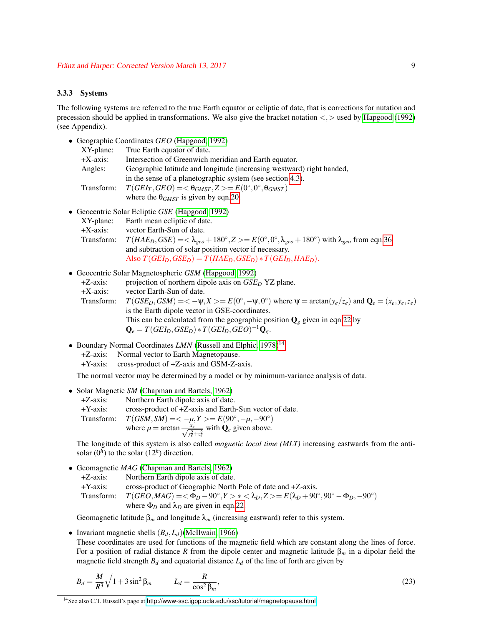#### <span id="page-8-1"></span>3.3.3 Systems

The following systems are referred to the true Earth equator or ecliptic of date, that is corrections for nutation and precession should be applied in transformations. We also give the bracket notation <,> used by [Hapgood](#page-22-0) [\(1992\)](#page-22-0) (see Appendix).

• Geographic Coordinates *GEO* [\(Hapgood, 1992\)](#page-22-0)

| XY-plane:   | True Earth equator of date.                                                  |
|-------------|------------------------------------------------------------------------------|
| $+X$ -axis: | Intersection of Greenwich meridian and Earth equator.                        |
| Angles:     | Geographic latitude and longitude (increasing westward) right handed,        |
|             | in the sense of a planetographic system (see section 4.3).                   |
| Transform:  | $T(GEI_T, GEO) = <\theta_{GMST}$ , $Z> = E(0^\circ, 0^\circ, \theta_{GMST})$ |
|             | where the $\theta_{GMST}$ is given by eqn.20.                                |

• Geocentric Solar Ecliptic *GSE* [\(Hapgood, 1992\)](#page-22-0)

| XY-plane:   | Earth mean ecliptic of date.                                                                                                                          |
|-------------|-------------------------------------------------------------------------------------------------------------------------------------------------------|
| $+X$ -axis: | vector Earth-Sun of date.                                                                                                                             |
| Transform:  | $T(HAE_D, GSE) = \lambda_{\text{geo}} + 180^\circ, Z = E(0^\circ, 0^\circ, \lambda_{\text{geo}} + 180^\circ)$ with $\lambda_{\text{geo}}$ from eqn.36 |
|             | and subtraction of solar position vector if necessary.                                                                                                |
|             | Also $T(GEI_D, GSE_D) = T(HAE_D, GSE_D) * T(GEI_D, HAE_D)$ .                                                                                          |

• Geocentric Solar Magnetospheric *GSM* [\(Hapgood, 1992\)](#page-22-0)

| $+Z$ -axis: | projection of northern dipole axis on $GSED$ YZ plane.                                                                                       |
|-------------|----------------------------------------------------------------------------------------------------------------------------------------------|
| $+X$ -axis: | vector Earth-Sun of date.                                                                                                                    |
| Transform:  | $T(GSE_D, GSM) = \langle -\psi, X \rangle = E(0^\circ, -\psi, 0^\circ)$ where $\psi = \arctan(y_e/z_e)$ and $\mathbf{Q}_e = (x_e, y_e, z_e)$ |
|             | is the Earth dipole vector in GSE-coordinates.                                                                                               |
|             | This can be calculated from the geographic position $\mathbf{Q}_e$ given in eqn.22 by                                                        |
|             | $\mathbf{Q}_e = T(GEI_D, GSE_D) * T(GEI_D, GEO)^{-1}\mathbf{Q}_e.$                                                                           |

- Boundary Normal Coordinates *LMN* [\(Russell and Elphic, 1978\)](#page-23-9)<sup>[14](#page-8-0)</sup>
	- +Z-axis: Normal vector to Earth Magnetopause.
	- +Y-axis: cross-product of +Z-axis and GSM-Z-axis.

The normal vector may be determined by a model or by minimum-variance analysis of data.

- Solar Magnetic *SM* [\(Chapman and Bartels, 1962\)](#page-22-15)
	- +Z-axis: Northern Earth dipole axis of date. +Y-axis: cross-product of +Z-axis and Earth-Sun vector of date.  $T(\text{GSM}, S\text{M}) = \langle -\mu, Y \rangle = E(90^\circ, -\mu, -90^\circ)$ where  $\mu = \arctan \frac{\overline{x_e}}{\sqrt{y_e^2 + z_e^2}}$  with  $\overline{Q}_e$  given above.

The longitude of this system is also called *magnetic local time (MLT)* increasing eastwards from the antisolar  $(0^h)$  to the solar  $(12^h)$  direction.

- Geomagnetic *MAG* [\(Chapman and Bartels, 1962\)](#page-22-15)
	- +Z-axis: Northern Earth dipole axis of date.
	- +Y-axis: cross-product of Geographic North Pole of date and +Z-axis.

 $\text{Transform:} \quad T(GEO, MAG) = \langle \Phi_D - 90^\circ, Y \rangle^* \langle \Phi_D, Z \rangle = E(\lambda_D + 90^\circ, 90^\circ - \Phi_D, -90^\circ)$ where  $\Phi_D$  and  $\lambda_D$  are given in eqn[.22.](#page-7-5)

Geomagnetic latitude  $\beta_m$  and longitude  $\lambda_m$  (increasing eastward) refer to this system.

• Invariant magnetic shells (*Bd*,*Ld*)[\(McIlwain, 1966\)](#page-23-10)

These coordinates are used for functions of the magnetic field which are constant along the lines of force. For a position of radial distance *R* from the dipole center and magnetic latitude β*<sup>m</sup>* in a dipolar field the magnetic field strength  $B_d$  and equatorial distance  $L_d$  of the line of forth are given by

$$
B_d = \frac{M}{R^3} \sqrt{1 + 3\sin^2 \beta_m} \qquad L_d = \frac{R}{\cos^2 \beta_m},\tag{23}
$$

<span id="page-8-0"></span><sup>14</sup>See also C.T. Russell's page at <http://www-ssc.igpp.ucla.edu/ssc/tutorial/magnetopause.html>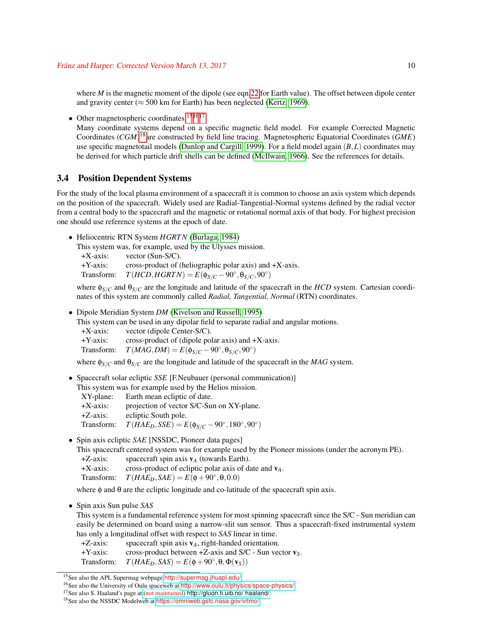where *M* is the magnetic moment of the dipole (see eqn[.22](#page-7-5) for Earth value). The offset between dipole center and gravity center ( $\approx$  500 km for Earth) has been neglected [\(Kertz, 1969\)](#page-22-14).

• Other magnetospheric coordinates <sup>[15](#page-9-0)[16](#page-9-1)[17](#page-9-2)</sup>

Many coordinate systems depend on a specific magnetic field model. For example Corrected Magnetic Coordinates (*CGM*) [18](#page-9-3)are constructed by field line tracing. Magnetospheric Equatorial Coordinates (*GME*) use specific magnetotail models [\(Dunlop and Cargill, 1999\)](#page-22-16). For a field model again (*B*,*L*) coordinates may be derived for which particle drift shells can be defined [\(McIlwain, 1966\)](#page-23-10). See the references for details.

### 3.4 Position Dependent Systems

For the study of the local plasma environment of a spacecraft it is common to choose an axis system which depends on the position of the spacecraft. Widely used are Radial-Tangential-Normal systems defined by the radial vector from a central body to the spacecraft and the magnetic or rotational normal axis of that body. For highest precision one should use reference systems at the epoch of date.

• Heliocentric RTN System *HGRTN* [\(Burlaga, 1984\)](#page-22-12) This system was, for example, used by the Ulysses mission. +X-axis: vector (Sun-S/C). +Y-axis: cross-product of (heliographic polar axis) and +X-axis. Transform:  $T(HCD, HGRTN) = E(\phi_{S/C} - 90^\circ, \theta_{S/C}, 90^\circ)$ 

where  $\phi_{S/C}$  and  $\theta_{S/C}$  are the longitude and latitude of the spacecraft in the *HCD* system. Cartesian coordinates of this system are commonly called *Radial, Tangential, Normal* (RTN) coordinates.

• Dipole Meridian System *DM* [\(Kivelson and Russell, 1995\)](#page-22-13)

This system can be used in any dipolar field to separate radial and angular motions. +X-axis: vector (dipole Center-S/C). +Y-axis: cross-product of (dipole polar axis) and +X-axis. Transform:  $T(MAG, DM) = E(\phi_{S/C} - 90^\circ, \theta_{S/C}, 90^\circ)$ 

where  $\phi_{S/C}$  and  $\theta_{S/C}$  are the longitude and latitude of the spacecraft in the *MAG* system.

• Spacecraft solar ecliptic *SSE* [F.Neubauer (personal communication)]

This system was for example used by the Helios mission.

- XY-plane: Earth mean ecliptic of date. +X-axis: projection of vector S/C-Sun on XY-plane. +Z-axis: ecliptic South pole. Transform:  $T(HAE_D, SSE) = E(\phi_{S/C} - 90^\circ, 180^\circ, 90^\circ)$
- Spin axis ecliptic *SAE* [NSSDC, Pioneer data pages]

This spacecraft centered system was for example used by the Pioneer missions (under the acronym PE). +Z-axis: spacecraft spin axis v*<sup>A</sup>* (towards Earth).

- +X-axis: cross-product of ecliptic polar axis of date and v*A*.
- Transform:  $T(HAE_D,SAE) = E(\phi + 90^\circ, \theta, 0.0)$

where  $\phi$  and  $\theta$  are the ecliptic longitude and co-latitude of the spacecraft spin axis.

• Spin axis Sun pulse *SAS*

This system is a fundamental reference system for most spinning spacecraft since the S/C - Sun meridian can easily be determined on board using a narrow-slit sun sensor. Thus a spacecraft-fixed instrumental system has only a longitudinal offset with respect to *SAS* linear in time.

+Z-axis: spacecraft spin axis  $v_A$ , right-handed orientation.<br>+Y-axis: cross-product between +Z-axis and S/C - Sun vec

cross-product between  $+Z$ -axis and S/C - Sun vector  $v_S$ .

Transform:  $T(HAE_D, SAS) = E(\phi + 90^\circ, \theta, \Phi(\mathbf{v}_S))$ 

<span id="page-9-0"></span><sup>15</sup>See also the APL Supermag webpage <http://supermag.jhuapl.edu/>

<span id="page-9-1"></span><sup>&</sup>lt;sup>16</sup>See also the University of Oulu spaceweb at <http://www.oulu.fi/physics/space-physics/>

<span id="page-9-2"></span><sup>17</sup>See also S. Haaland's page at (not maintained) [http://gluon.fi.uib.no/ haaland/](http://gluon.fi.uib.no/~haaland/)

<span id="page-9-3"></span><sup>18</sup>See also the NSSDC Modelweb at <https://omniweb.gsfc.nasa.gov/vitmo/>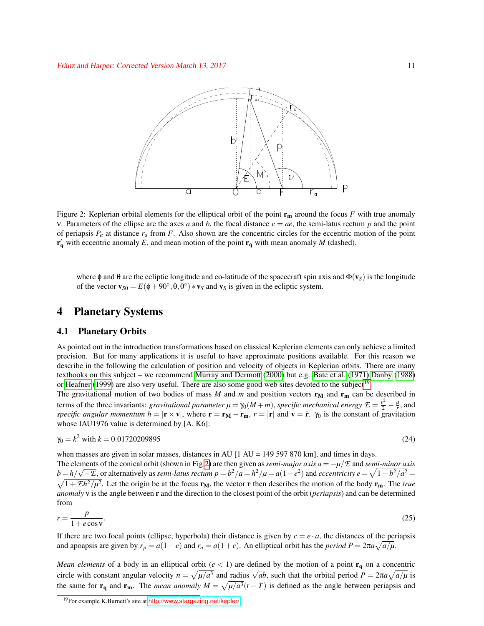

<span id="page-10-1"></span>Figure 2: Keplerian orbital elements for the elliptical orbit of the point  $\mathbf{r}_m$  around the focus *F* with true anomaly v. Parameters of the ellipse are the axes *a* and *b*, the focal distance  $c = ae$ , the semi-latus rectum *p* and the point of periapsis  $P_a$  at distance  $r_a$  from  $F$ . Also shown are the concentric circles for the eccentric motion of the point  $\mathbf{r}'_{\mathbf{q}}$  with eccentric anomaly *E*, and mean motion of the point  $\mathbf{r}_{\mathbf{q}}$  with mean anomaly *M* (dashed).

where  $\phi$  and  $\theta$  are the ecliptic longitude and co-latitude of the spacecraft spin axis and  $\Phi(\mathbf{v}_S)$  is the longitude of the vector  $\mathbf{v}_{S0} = E(\phi + 90^\circ, \theta, 0^\circ) * \mathbf{v}_S$  and  $\mathbf{v}_S$  is given in the ecliptic system.

### 4 Planetary Systems

#### 4.1 Planetary Orbits

As pointed out in the introduction transformations based on classical Keplerian elements can only achieve a limited precision. But for many applications it is useful to have approximate positions available. For this reason we describe in the following the calculation of position and velocity of objects in Keplerian orbits. There are many textbooks on this subject – we recommend [Murray and Dermott](#page-23-11) [\(2000\)](#page-23-11) but e.g. [Bate et al.](#page-22-17) [\(1971\)](#page-22-17)[,Danby](#page-22-18) [\(1988\)](#page-22-18) or [Heafner](#page-22-5) [\(1999\)](#page-22-5) are also very useful. There are also some good web sites devoted to the subject<sup>[19](#page-10-0)</sup>.

The gravitational motion of two bodies of mass *M* and *m* and position vectors  $\mathbf{r}_M$  and  $\mathbf{r}_m$  can be described in terms of the three invariants: *gravitational parameter*  $\mu = \gamma_0(M+m)$ , *specific mechanical energy*  $\mathcal{E} = \frac{v^2}{2} - \frac{\mu}{r}$  $\frac{\mu}{r}$ , and *specific angular momentum h* =  $|\mathbf{r} \times \mathbf{v}|$ , where  $\mathbf{r} = \mathbf{r}_M - \mathbf{r}_m$ ,  $r = |\mathbf{r}|$  and  $\mathbf{v} = \dot{\mathbf{r}}$ .  $\gamma_0$  is the constant of gravitation whose IAU1976 value is determined by [A. K6]:

$$
\gamma_0 = k^2 \text{ with } k = 0.01720209895 \tag{24}
$$

when masses are given in solar masses, distances in AU  $[1 \text{ AU} = 149\,597\,870\,\text{km}]$ , and times in days.

The elements of the conical orbit (shown in Fig[.2\)](#page-10-1) are then given as *semi-major axis a* = −*µ*/*E* and *semi-minor axis*  $b = h/\sqrt{-\mathcal{E}}$ , or alternatively as *semi-latus rectum p* =  $b^2/a = h^2/\mu = a(1-e^2)$  and *eccentricity e* =  $\sqrt{1-b^2/a^2}$  =  $\sqrt{1+\mathcal{E}h^2/\mu^2}$ . Let the origin be at the focus  $\mathbf{r}_M$ , the vector **r** then describes the motion of the body  $\mathbf{r}_m$ . The *true anomaly* ν is the angle between r and the direction to the closest point of the orbit (*periapsis*) and can be determined from

$$
r = \frac{p}{1 + e \cos v}.\tag{25}
$$

If there are two focal points (ellipse, hyperbola) their distance is given by  $c = e \cdot a$ , the distances of the periapsis and apoapsis are given by  $r_p = a(1-e)$  and  $r_a = a(1+e)$ . An elliptical orbit has the *period*  $P = 2\pi a \sqrt{a/\mu}$ .

*Mean elements* of a body in an elliptical orbit ( $e$  < 1) are defined by the motion of a point  $\mathbf{r}_{q}$  on a concentric circle with constant angular velocity  $n = \sqrt{\mu/a^3}$  and radius  $\sqrt{ab}$ , such that the orbital period  $P = 2\pi a \sqrt{a/\mu}$  is the same for  $\mathbf{r}_q$  and  $\mathbf{r}_m$ . The *mean anomaly*  $M = \sqrt{\mu/a^3}(t - T)$  is defined as the angle between periapsis and

<span id="page-10-0"></span><sup>&</sup>lt;sup>19</sup>For example K.Burnett's site at <http://www.stargazing.net/kepler/>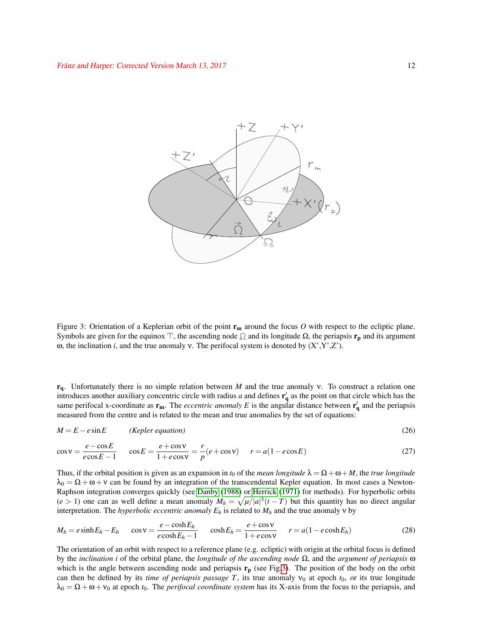

<span id="page-11-0"></span>Figure 3: Orientation of a Keplerian orbit of the point  $r_m$  around the focus O with respect to the ecliptic plane. Symbols are given for the equinox  $\gamma$ , the ascending node  $\Omega$  and its longitude  $\Omega$ , the periapsis  $\mathbf{r}_p$  and its argument ω, the inclination *i*, and the true anomaly v. The perifocal system is denoted by  $(X', Y', Z')$ .

rq. Unfortunately there is no simple relation between *M* and the true anomaly ν. To construct a relation one introduces another auxiliary concentric circle with radius *a* and defines  $\mathbf{r}'_q$  as the point on that circle which has the same perifocal x-coordinate as  $r_m$ . The *eccentric anomaly E* is the angular distance between  $r'_q$  and the periapsis measured from the centre and is related to the mean and true anomalies by the set of equations:

<span id="page-11-1"></span>
$$
M = E - e \sin E \qquad (Kepler equation)
$$
 (26)

$$
\cos \nu = \frac{e - \cos E}{e \cos E - 1} \qquad \cos E = \frac{e + \cos \nu}{1 + e \cos \nu} = \frac{r}{p} (e + \cos \nu) \qquad r = a(1 - e \cos E) \tag{27}
$$

Thus, if the orbital position is given as an expansion in  $t_0$  of the *mean longitude*  $\lambda = \Omega + \omega + M$ , the *true longitude*  $\lambda_0 = \Omega + \omega + \nu$  can be found by an integration of the transcendental Kepler equation. In most cases a Newton-Raphson integration converges quickly (see [Danby](#page-22-18) [\(1988\)](#page-22-18) or [Herrick](#page-22-19) [\(1971\)](#page-22-19) for methods). For hyperbolic orbits  $(e > 1)$  one can as well define a mean anomaly  $M_h = \sqrt{\mu/|a|^3}(t - T)$  but this quantity has no direct angular interpretation. The *hyperbolic eccentric anomaly E<sup>h</sup>* is related to *M<sup>h</sup>* and the true anomaly ν by

$$
M_h = e \sinh E_h - E_h \qquad \cos \nu = \frac{e - \cosh E_h}{e \cosh E_h - 1} \qquad \cosh E_h = \frac{e + \cos \nu}{1 + e \cos \nu} \qquad r = a(1 - e \cosh E_h) \tag{28}
$$

The orientation of an orbit with respect to a reference plane (e.g. ecliptic) with origin at the orbital focus is defined by the *inclination i* of the orbital plane, the *longitude of the ascending node* Ω, and the *argument of periapsis* ω which is the angle between ascending node and periapsis  $\mathbf{r}_p$  (see Fig[.3\)](#page-11-0). The position of the body on the orbit can then be defined by its *time of periapsis passage T*, its true anomaly  $v_0$  at epoch  $t_0$ , or its true longitude  $\lambda_0 = \Omega + \omega + v_0$  at epoch  $t_0$ . The *perifocal coordinate system* has its X-axis from the focus to the periapsis, and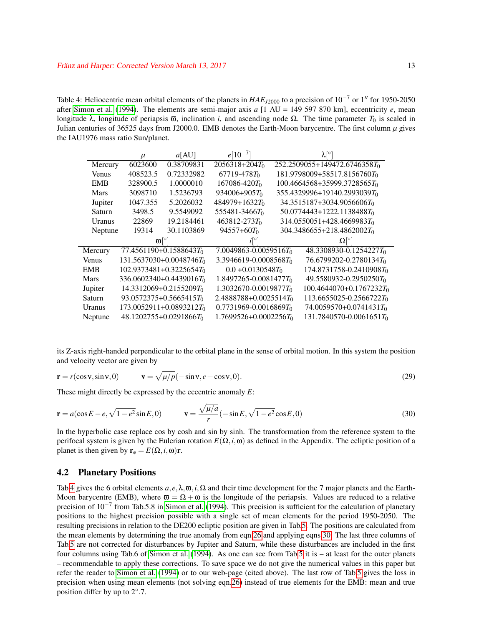<span id="page-12-0"></span>Table 4: Heliocentric mean orbital elements of the planets in  $HAE_{J2000}$  to a precision of 10<sup>-7</sup> or 1<sup>n</sup> for 1950-2050 after [Simon et al.](#page-23-3) [\(1994\)](#page-23-3). The elements are semi-major axis *a* [1 AU = 149 597 870 km], eccentricity *e*, mean longitude λ, longitude of periapsis  $\overline{\omega}$ , inclination *i*, and ascending node  $\Omega$ . The time parameter  $T_0$  is scaled in Julian centuries of 36525 days from J2000.0. EMB denotes the Earth-Moon barycentre. The first column  $\mu$  gives the IAU1976 mass ratio Sun/planet.

|               | $\mu$    | a[AU]                        | $e[10^{-7}]$               | $\lambda$ [ $\circ$ ]                         |
|---------------|----------|------------------------------|----------------------------|-----------------------------------------------|
| Mercury       | 6023600  | 0.38709831                   | $2056318 + 204T_0$         | 252.2509055+149472.6746358 $T_0$              |
| <b>Venus</b>  | 408523.5 | 0.72332982                   | $67719 - 478T_0$           | $181.9798009 + 58517.8156760T_0$              |
| <b>EMB</b>    | 328900.5 | 1.0000010                    | $167086 - 420T_0$          | $100.4664568+35999.3728565T_0$                |
| Mars          | 3098710  | 1.5236793                    | $934006 + 905T_0$          | $355.4329996+19140.2993039T_0$                |
| Jupiter       | 1047.355 | 5.2026032                    | $484979+1632T_0$           | 34.3515187+3034.9056606 <i>T</i> <sub>0</sub> |
| Saturn        | 3498.5   | 9.5549092                    | $555481 - 3466T_0$         | $50.0774443 + 1222.1138488T_0$                |
| <b>Uranus</b> | 22869    | 19.2184461                   | $463812 - 273T_0$          | 314.0550051+428.4669983To                     |
| Neptune       | 19314    | 30.1103869                   | $94557+60T_0$              | 304.3486655+218.4862002 $T_0$                 |
|               | $\varpi$ |                              |                            | $\Omega$ <sup>o</sup>                         |
| Mercury       |          | $77.4561190 + 0.1588643T_0$  | $7.0049863 - 0.0059516T_0$ | $48.3308930 - 0.1254227T_0$                   |
| <b>Venus</b>  |          | $131.5637030+0.0048746T_0$   | $3.3946619 - 0.0008568T_0$ | $76.6799202 - 0.2780134T_0$                   |
| <b>EMB</b>    |          | $102.9373481 + 0.3225654T_0$ | $0.0 + 0.0130548T_0$       | $174.8731758 - 0.2410908T_0$                  |
| <b>Mars</b>   |          | $336.0602340 + 0.4439016T_0$ | $1.8497265 - 0.0081477T_0$ | $49.5580932 - 0.2950250T_0$                   |
| Jupiter       |          | $14.3312069 + 0.2155209T_0$  | $1.3032670 - 0.0019877T_0$ | $100.4644070 + 0.1767232T_0$                  |
| Saturn        |          | $93.0572375 + 0.5665415T_0$  | $2.4888788 + 0.0025514T_0$ | $113.6655025 - 0.2566722T_0$                  |
| Uranus        |          | $173.0052911 + 0.0893212T_0$ | $0.7731969 - 0.0016869T_0$ | $74.0059570 + 0.0741431T_0$                   |
| Neptune       |          | $48.1202755+0.0291866T_0$    | $1.7699526 + 0.0002256T_0$ | $131.7840570 - 0.0061651T_0$                  |

its Z-axis right-handed perpendicular to the orbital plane in the sense of orbital motion. In this system the position and velocity vector are given by

<span id="page-12-1"></span>
$$
\mathbf{r} = r(\cos \mathbf{v}, \sin \mathbf{v}, 0) \qquad \mathbf{v} = \sqrt{\mu/p}(-\sin \mathbf{v}, e + \cos \mathbf{v}, 0). \tag{29}
$$

These might directly be expressed by the eccentric anomaly *E*:

$$
\mathbf{r} = a(\cos E - e, \sqrt{1 - e^2} \sin E, 0) \qquad \mathbf{v} = \frac{\sqrt{\mu/a}}{r} (-\sin E, \sqrt{1 - e^2} \cos E, 0)
$$
(30)

In the hyperbolic case replace cos by cosh and sin by sinh. The transformation from the reference system to the perifocal system is given by the Eulerian rotation  $E(\Omega, i, \omega)$  as defined in the Appendix. The ecliptic position of a planet is then given by  $\mathbf{r}_e = E(\Omega, i, \omega)\mathbf{r}$ .

#### 4.2 Planetary Positions

Tab[.4](#page-12-0) gives the 6 orbital elements *a*, *e*,λ,ϖ,*i*,Ω and their time development for the 7 major planets and the Earth-Moon barycentre (EMB), where  $\overline{\omega} = \Omega + \omega$  is the longitude of the periapsis. Values are reduced to a relative precision of 10<sup>-7</sup> from Tab.5.8 in [Simon et al.](#page-23-3) [\(1994\)](#page-23-3). This precision is sufficient for the calculation of planetary positions to the highest precision possible with a single set of mean elements for the period 1950-2050. The resulting precisions in relation to the DE200 ecliptic position are given in Tab[.5.](#page-13-2) The positions are calculated from the mean elements by determining the true anomaly from eqn[.26](#page-11-1) and applying eqns[.30.](#page-12-1) The last three columns of Tab[.5](#page-13-2) are not corrected for disturbances by Jupiter and Saturn, while these disturbances are included in the first four columns using Tab.6 of [Simon et al.](#page-23-3) [\(1994\)](#page-23-3). As one can see from Tab[.5](#page-13-2) it is – at least for the outer planets – recommendable to apply these corrections. To save space we do not give the numerical values in this paper but refer the reader to [Simon et al.](#page-23-3) [\(1994\)](#page-23-3) or to our web-page (cited above). The last row of Tab[.5](#page-13-2) gives the loss in precision when using mean elements (not solving eqn[.26\)](#page-11-1) instead of true elements for the EMB: mean and true position differ by up to  $2^{\circ}.7$ .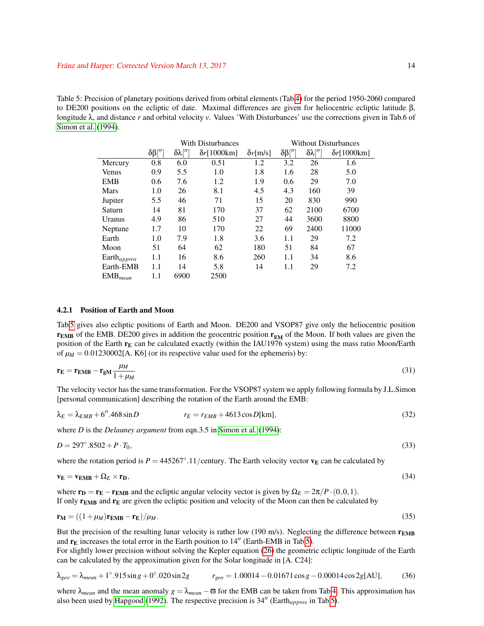<span id="page-13-2"></span>Table 5: Precision of planetary positions derived from orbital elements (Tab[.4\)](#page-12-0) for the period 1950-2060 compared to DE200 positions on the ecliptic of date. Maximal differences are given for heliocentric ecliptic latitude β, longitude λ, and distance *r* and orbital velocity *v*. Values 'With Disturbances' use the corrections given in Tab.6 of [Simon et al.](#page-23-3) [\(1994\)](#page-23-3).

|                         | With Disturbances  |                                                                             |      | <b>Without Disturbances</b> |     |                                  |                     |
|-------------------------|--------------------|-----------------------------------------------------------------------------|------|-----------------------------|-----|----------------------------------|---------------------|
|                         | $\delta\beta$ [''] | $\delta\lambda$ <sup>[//</sup> ]<br>$\delta r$ [1000km]<br>$\delta v$ [m/s] |      |                             |     | $\delta\lambda$ <sup>[''</sup> ] | $\delta r$ [1000km] |
| Mercury                 | 0.8                | 6.0                                                                         | 0.51 | 1.2                         | 3.2 | 26                               | 1.6                 |
| Venus                   | 0.9                | 5.5                                                                         | 1.0  | 1.8                         | 1.6 | 28                               | 5.0                 |
| <b>EMB</b>              | 0.6                | 7.6                                                                         | 1.2  | 1.9                         | 0.6 | 29                               | 7.0                 |
| <b>Mars</b>             | 1.0                | 26                                                                          | 8.1  | 4.5                         | 4.3 | 160                              | 39                  |
| Jupiter                 | 5.5                | 46                                                                          | 71   | 15                          | 20  | 830                              | 990                 |
| Saturn                  | 14                 | 81                                                                          | 170  | 37                          | 62  | 2100                             | 6700                |
| Uranus                  | 4.9                | 86                                                                          | 510  | 27                          | 44  | 3600                             | 8800                |
| Neptune                 | 1.7                | 10                                                                          | 170  | 22                          | 69  | 2400                             | 11000               |
| Earth                   | 1.0                | 7.9                                                                         | 1.8  | 3.6                         | 1.1 | 29                               | 7.2                 |
| Moon                    | 51                 | 64                                                                          | 62   | 180                         | 51  | 84                               | 67                  |
| Earth <sub>approx</sub> | 1.1                | 16                                                                          | 8.6  | 260                         | 1.1 | 34                               | 8.6                 |
| Earth-EMB               | 1.1                | 14                                                                          | 5.8  | 14                          | 1.1 | 29                               | 7.2                 |
| $EMB_{mean}$            | 1.1                | 6900                                                                        | 2500 |                             |     |                                  |                     |

#### <span id="page-13-1"></span>4.2.1 Position of Earth and Moon

Tab[.5](#page-13-2) gives also ecliptic positions of Earth and Moon. DE200 and VSOP87 give only the heliocentric position  $r_{EMB}$  of the EMB. DE200 gives in addition the geocentric position  $r_{SM}$  of the Moon. If both values are given the position of the Earth  $r_E$  can be calculated exactly (within the IAU1976 system) using the mass ratio Moon/Earth of  $\mu_M = 0.01230002[A$ . K6] (or its respective value used for the ephemeris) by:

$$
\mathbf{r}_{\mathbf{E}} = \mathbf{r}_{\mathbf{EMB}} - \mathbf{r}_{\mathbf{gM}} \frac{\mu_M}{1 + \mu_M} \tag{31}
$$

<span id="page-13-3"></span>The velocity vector has the same transformation. For the VSOP87 system we apply following formula by J.L.Simon [personal communication] describing the rotation of the Earth around the EMB:

$$
\lambda_E = \lambda_{EMB} + 6''.468 \sin D \qquad \qquad r_E = r_{EMB} + 4613 \cos D[\text{km}], \tag{32}
$$

where *D* is the *Delauney argument* from eqn.3.5 in [Simon et al.](#page-23-3) [\(1994\)](#page-23-3):

$$
D = 297^{\circ}.8502 + P \cdot T_0,\tag{33}
$$

where the rotation period is  $P = 445267^{\circ}.11$ /century. The Earth velocity vector  $v_E$  can be calculated by

$$
\mathbf{v_E} = \mathbf{v_{EMB}} + \Omega_E \times \mathbf{r_D},\tag{34}
$$

where  $\mathbf{r_D} = \mathbf{r_E} - \mathbf{r_{EMB}}$  and the ecliptic angular velocity vector is given by  $\Omega_E = 2\pi/P \cdot (0,0,1)$ . If only  $r_{EMB}$  and  $r_E$  are given the ecliptic position and velocity of the Moon can then be calculated by

$$
\mathbf{r}_{\mathbf{M}} = ((1 + \mu_M)\mathbf{r}_{\mathbf{EMB}} - \mathbf{r}_{\mathbf{E}})/\mu_M. \tag{35}
$$

But the precision of the resulting lunar velocity is rather low (190 m/s). Neglecting the difference between  $r_{EMB}$ and  $r_E$  increases the total error in the Earth position to  $14^{\prime\prime}$  (Earth-EMB in Tab[.5\)](#page-13-2).

<span id="page-13-0"></span>For slightly lower precision without solving the Kepler equation [\(26\)](#page-11-1) the geometric ecliptic longitude of the Earth can be calculated by the approximation given for the Solar longitude in [A. C24]:

$$
\lambda_{geo} = \lambda_{mean} + 1^{\circ}.915 \sin g + 0^{\circ}.020 \sin 2g \qquad r_{geo} = 1.00014 - 0.01671 \cos g - 0.00014 \cos 2g[\text{AU}], \tag{36}
$$

where  $\lambda_{mean}$  and the mean anomaly  $g = \lambda_{mean} - \overline{\omega}$  for the EMB can be taken from Tab[.4.](#page-12-0) This approximation has also been used by [Hapgood](#page-22-0) [\(1992\)](#page-22-0). The respective precision is  $34''$  (Earth<sub>approx</sub> in Tab[.5\)](#page-13-2).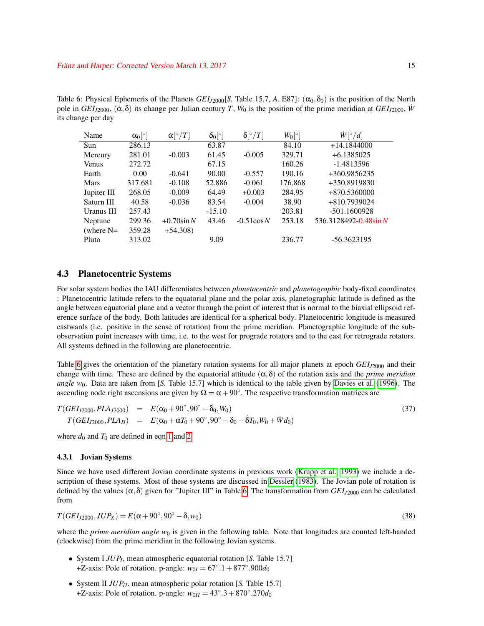<span id="page-14-1"></span>Table 6: Physical Ephemeris of the Planets *GEI*<sub>*J*2000</sub>[*S*. Table 15.7, *A*. E87]:  $(\alpha_0, \delta_0)$  is the position of the North pole in  $GEI_{J2000}$ ,  $(\dot{\alpha}, \dot{\delta})$  its change per Julian century *T*,  $W_0$  is the position of the prime meridian at  $GEI_{J2000}$ ,  $\dot{W}$ its change per day

| Name         | $\alpha_0$ <sup>[o]</sup> | $\dot{\alpha} [^{\circ}/T]$ | $\delta_0$ [°] | $\dot{\delta}$ <sup>o</sup> /T | $W_0[^{\circ}]$ | $\dot{W}[^{\circ}/d]$      |
|--------------|---------------------------|-----------------------------|----------------|--------------------------------|-----------------|----------------------------|
| Sun          | 286.13                    |                             | 63.87          |                                | 84.10           | $+14.1844000$              |
| Mercury      | 281.01                    | $-0.003$                    | 61.45          | $-0.005$                       | 329.71          | $+6.1385025$               |
| <b>Venus</b> | 272.72                    |                             | 67.15          |                                | 160.26          | $-1.4813596$               |
| Earth        | 0.00                      | $-0.641$                    | 90.00          | $-0.557$                       | 190.16          | +360.9856235               |
| <b>Mars</b>  | 317.681                   | $-0.108$                    | 52.886         | $-0.061$                       | 176.868         | +350.8919830               |
| Jupiter III  | 268.05                    | $-0.009$                    | 64.49          | $+0.003$                       | 284.95          | $+870.5360000$             |
| Saturn III   | 40.58                     | $-0.036$                    | 83.54          | $-0.004$                       | 38.90           | +810.7939024               |
| Uranus III   | 257.43                    |                             | $-15.10$       |                                | 203.81          | $-501.1600928$             |
| Neptune      | 299.36                    | $+0.70\sin N$               | 43.46          | $-0.51 \cos N$                 | 253.18          | $536.3128492 - 0.48\sin N$ |
| (where $N=$  | 359.28                    | $+54.308$                   |                |                                |                 |                            |
| Pluto        | 313.02                    |                             | 9.09           |                                | 236.77          | $-56.3623195$              |

#### <span id="page-14-0"></span>4.3 Planetocentric Systems

For solar system bodies the IAU differentiates between *planetocentric* and *planetographic* body-fixed coordinates : Planetocentric latitude refers to the equatorial plane and the polar axis, planetographic latitude is defined as the angle between equatorial plane and a vector through the point of interest that is normal to the biaxial ellipsoid reference surface of the body. Both latitudes are identical for a spherical body. Planetocentric longitude is measured eastwards (i.e. positive in the sense of rotation) from the prime meridian. Planetographic longitude of the subobservation point increases with time, i.e. to the west for prograde rotators and to the east for retrograde rotators. All systems defined in the following are planetocentric.

Table [6](#page-14-1) gives the orientation of the planetary rotation systems for all major planets at epoch *GEI*<sub>*J*2000</sub> and their change with time. These are defined by the equatorial attitude  $(\alpha, \delta)$  of the rotation axis and the *prime meridian angle w*<sub>0</sub>. Data are taken from [*S.* Table 15.7] which is identical to the table given by [Davies et al.](#page-22-20) [\(1996\)](#page-22-20). The ascending node right ascensions are given by  $\Omega = \alpha + 90^\circ$ . The respective transformation matrices are

$$
T(GE1_{J2000},PLA_{J2000}) = E(\alpha_0 + 90^\circ, 90^\circ - \delta_0, W_0)
$$
  
\n
$$
T(GE1_{J2000},PLA_D) = E(\alpha_0 + \dot{\alpha}T_0 + 90^\circ, 90^\circ - \delta_0 - \dot{\delta}T_0, W_0 + \dot{W}d_0)
$$
\n(37)

where  $d_0$  and  $T_0$  are defined in eqn[.1](#page-2-5) and [2.](#page-2-6)

#### 4.3.1 Jovian Systems

Since we have used different Jovian coordinate systems in previous work [\(Krupp et al., 1993\)](#page-22-21) we include a description of these systems. Most of these systems are discussed in [Dessler](#page-22-22) [\(1983\)](#page-22-22). The Jovian pole of rotation is defined by the values (α,δ) given for "Jupiter III" in Table[.6.](#page-14-1) The transformation from *GEIJ*<sup>2000</sup> can be calculated from

$$
T(GEI_{J2000}, JUP_X) = E(\alpha + 90^\circ, 90^\circ - \delta, w_0)
$$
\n(38)

where the *prime meridian angle*  $w_0$  is given in the following table. Note that longitudes are counted left-handed (clockwise) from the prime meridian in the following Jovian systems.

- System I *JUP<sup>I</sup>* , mean atmospheric equatorial rotation [*S.* Table 15.7]  $+Z$ -axis: Pole of rotation. p-angle:  $w_{0I} = 67^{\circ}.1 + 877^{\circ}.900d_0$
- System II *JUPII*, mean atmospheric polar rotation [*S.* Table 15.7] +Z-axis: Pole of rotation. p-angle:  $w_{0II} = 43°.3 + 870°.270d_0$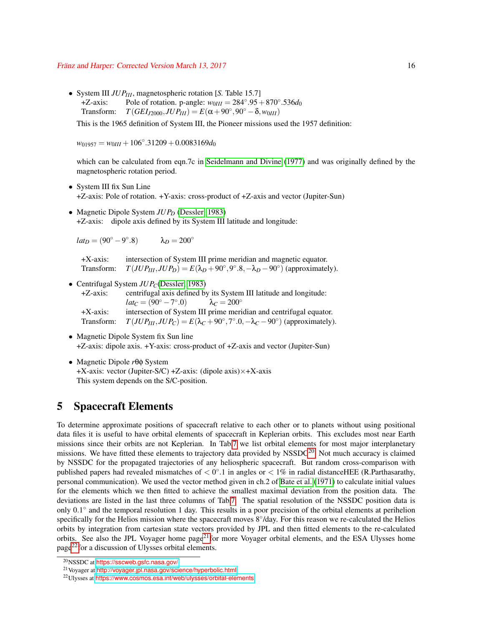#### Franz and Harper: Corrected Version March 13, 2017 ¨ 16

• System III *JUPIII*, magnetospheric rotation [*S.* Table 15.7] +Z-axis: Pole of rotation. p-angle:  $w_{0III} = 284°.95 + 870°.536d_0$ Transform:  $T(GEI_{J2000}, JUP_{III}) = E(\alpha + 90^{\circ}, 90^{\circ} - \delta, w_{0III})$ 

This is the 1965 definition of System III, the Pioneer missions used the 1957 definition:

 $w_{01957} = w_{0III} + 106°.31209 + 0.0083169d_0$ 

which can be calculated from eqn.7c in [Seidelmann and Divine](#page-23-12) [\(1977\)](#page-23-12) and was originally defined by the magnetospheric rotation period.

- System III fix Sun Line +Z-axis: Pole of rotation. +Y-axis: cross-product of +Z-axis and vector (Jupiter-Sun)
- Magnetic Dipole System *JUP*<sup>D</sup> [\(Dessler, 1983\)](#page-22-22) +Z-axis: dipole axis defined by its System III latitude and longitude:

 $lat_D = (90^\circ - 9^\circ)$  $\lambda_D = 200^\circ$ 

+X-axis: intersection of System III prime meridian and magnetic equator. Transform:  $T(JUP_{III},JUP_D) = E(\lambda_D + 90^\circ, 9^\circ.8, -\lambda_D - 90^\circ)$  (approximately).

- Centrifugal System *JUP<sub>C</sub>*[\(Dessler, 1983\)](#page-22-22) +Z-axis: centrifugal axis defined by its System III latitude and longitude:  $lat_C = (90^\circ - 7^\circ)$  $\lambda_C = 200^\circ$ +X-axis: intersection of System III prime meridian and centrifugal equator. Transform:  $T(JUP_{III},JUP_C) = E(\lambda_C + 90^\circ, 7^\circ.0, -\lambda_C - 90^\circ)$  (approximately).
- Magnetic Dipole System fix Sun line +Z-axis: dipole axis. +Y-axis: cross-product of +Z-axis and vector (Jupiter-Sun)
- Magnetic Dipole *r*θφ System  $+X$ -axis: vector (Jupiter-S/C)  $+Z$ -axis: (dipole axis) $\times$  $+X$ -axis This system depends on the S/C-position.

## 5 Spacecraft Elements

To determine approximate positions of spacecraft relative to each other or to planets without using positional data files it is useful to have orbital elements of spacecraft in Keplerian orbits. This excludes most near Earth missions since their orbits are not Keplerian. In Tab[.7](#page-16-0) we list orbital elements for most major interplanetary missions. We have fitted these elements to trajectory data provided by  $NSSDC<sup>20</sup>$  $NSSDC<sup>20</sup>$  $NSSDC<sup>20</sup>$ . Not much accuracy is claimed by NSSDC for the propagated trajectories of any heliospheric spacecraft. But random cross-comparison with published papers had revealed mismatches of  $< 0^{\circ}.1$  in angles or  $< 1\%$  in radial distanceHEE (R.Parthasarathy, personal communication). We used the vector method given in ch.2 of [Bate et al.](#page-22-17) [\(1971\)](#page-22-17) to calculate initial values for the elements which we then fitted to achieve the smallest maximal deviation from the position data. The deviations are listed in the last three columns of Tab[.7.](#page-16-0) The spatial resolution of the NSSDC position data is only 0.1 ◦ and the temporal resolution 1 day. This results in a poor precision of the orbital elements at perihelion specifically for the Helios mission where the spacecraft moves 8°/day. For this reason we re-calculated the Helios orbits by integration from cartesian state vectors provided by JPL and then fitted elements to the re-calculated orbits. See also the JPL Voyager home page<sup>[21](#page-15-1)</sup> for more Voyager orbital elements, and the ESA Ulysses home page[22](#page-15-2)for a discussion of Ulysses orbital elements.

<span id="page-15-0"></span><sup>20</sup>NSSDC at <https://sscweb.gsfc.nasa.gov/>

<span id="page-15-1"></span><sup>21</sup>Voyager at <http://voyager.jpl.nasa.gov/science/hyperbolic.html>

<span id="page-15-2"></span><sup>22</sup>Ulysses at <https://www.cosmos.esa.int/web/ulysses/orbital-elements>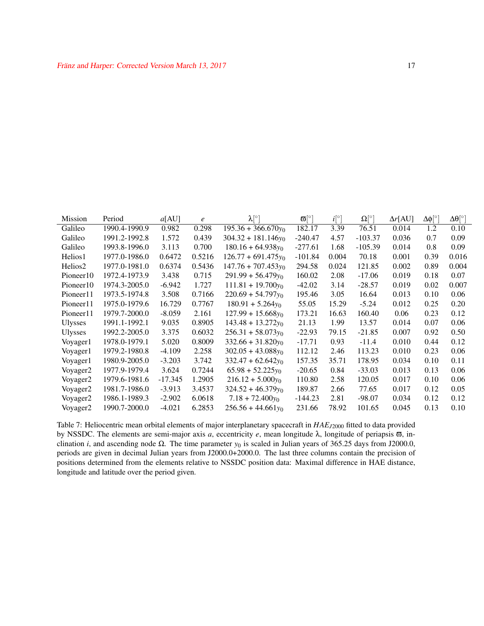| <b>Mission</b>        | Period        | a[AU]     | e      | $\lambda[^{\circ}]$   | $\overline{\omega}$ [°] | $i^{\circ}$ | $\Omega$ [ $^{\circ}$ ] | $\Delta r[AU]$ | Δφ[°] | $\Delta\theta$ [ $^{\circ}$ ] |
|-----------------------|---------------|-----------|--------|-----------------------|-------------------------|-------------|-------------------------|----------------|-------|-------------------------------|
| Galileo               | 1990.4-1990.9 | 0.982     | 0.298  | $195.36 + 366.670y_0$ | 182.17                  | 3.39        | 76.51                   | 0.014          | 1.2   | 0.10                          |
| Galileo               | 1991.2-1992.8 | 1.572     | 0.439  | $304.32 + 181.146y_0$ | $-240.47$               | 4.57        | -103.37                 | 0.036          | 0.7   | 0.09                          |
| Galileo               | 1993.8-1996.0 | 3.113     | 0.700  | $180.16 + 64.938y_0$  | $-277.61$               | 1.68        | -105.39                 | 0.014          | 0.8   | 0.09                          |
| Helios1               | 1977.0-1986.0 | 0.6472    | 0.5216 | $126.77 + 691.475v_0$ | $-101.84$               | 0.004       | 70.18                   | 0.001          | 0.39  | 0.016                         |
| Helios <sub>2</sub>   | 1977.0-1981.0 | 0.6374    | 0.5436 | $147.76 + 707.453y_0$ | 294.58                  | 0.024       | 121.85                  | 0.002          | 0.89  | 0.004                         |
| Pioneer <sub>10</sub> | 1972.4-1973.9 | 3.438     | 0.715  | $291.99 + 56.479y_0$  | 160.02                  | 2.08        | $-17.06$                | 0.019          | 0.18  | 0.07                          |
| Pioneer <sub>10</sub> | 1974.3-2005.0 | $-6.942$  | 1.727  | $111.81 + 19.700y_0$  | $-42.02$                | 3.14        | $-28.57$                | 0.019          | 0.02  | 0.007                         |
| Pioneer <sub>11</sub> | 1973.5-1974.8 | 3.508     | 0.7166 | $220.69 + 54.797y_0$  | 195.46                  | 3.05        | 16.64                   | 0.013          | 0.10  | 0.06                          |
| Pioneer <sub>11</sub> | 1975.0-1979.6 | 16.729    | 0.7767 | $180.91 + 5.264y_0$   | 55.05                   | 15.29       | $-5.24$                 | 0.012          | 0.25  | 0.20                          |
| Pioneer <sub>11</sub> | 1979.7-2000.0 | $-8.059$  | 2.161  | $127.99 + 15.668y_0$  | 173.21                  | 16.63       | 160.40                  | 0.06           | 0.23  | 0.12                          |
| <b>Ulysses</b>        | 1991.1-1992.1 | 9.035     | 0.8905 | $143.48 + 13.272y_0$  | 21.13                   | 1.99        | 13.57                   | 0.014          | 0.07  | 0.06                          |
| <b>Ulysses</b>        | 1992.2-2005.0 | 3.375     | 0.6032 | $256.31 + 58.073y_0$  | $-22.93$                | 79.15       | $-21.85$                | 0.007          | 0.92  | 0.50                          |
| Voyager1              | 1978.0-1979.1 | 5.020     | 0.8009 | $332.66 + 31.820y_0$  | $-17.71$                | 0.93        | $-11.4$                 | 0.010          | 0.44  | 0.12                          |
| Voyager1              | 1979.2-1980.8 | $-4.109$  | 2.258  | $302.05 + 43.088y_0$  | 112.12                  | 2.46        | 113.23                  | 0.010          | 0.23  | 0.06                          |
| Voyager1              | 1980.9-2005.0 | $-3.203$  | 3.742  | $332.47 + 62.642y_0$  | 157.35                  | 35.71       | 178.95                  | 0.034          | 0.10  | 0.11                          |
| Voyager <sub>2</sub>  | 1977.9-1979.4 | 3.624     | 0.7244 | $65.98 + 52.225y_0$   | $-20.65$                | 0.84        | $-33.03$                | 0.013          | 0.13  | 0.06                          |
| Voyager <sub>2</sub>  | 1979.6-1981.6 | $-17.345$ | 1.2905 | $216.12 + 5.000y_0$   | 110.80                  | 2.58        | 120.05                  | 0.017          | 0.10  | 0.06                          |
| Voyager <sub>2</sub>  | 1981.7-1986.0 | $-3.913$  | 3.4537 | $324.52 + 46.379y_0$  | 189.87                  | 2.66        | 77.65                   | 0.017          | 0.12  | 0.05                          |
| Voyager2              | 1986.1-1989.3 | $-2.902$  | 6.0618 | $7.18 + 72.400y_0$    | $-144.23$               | 2.81        | $-98.07$                | 0.034          | 0.12  | 0.12                          |
| Voyager <sub>2</sub>  | 1990.7-2000.0 | $-4.021$  | 6.2853 | $256.56 + 44.661v_0$  | 231.66                  | 78.92       | 101.65                  | 0.045          | 0.13  | 0.10                          |

<span id="page-16-0"></span>Table 7: Heliocentric mean orbital elements of major interplanetary spacecraft in *HAEJ*<sup>2000</sup> fitted to data provided by NSSDC. The elements are semi-major axis *a*, eccentricity *e*, mean longitude λ, longitude of periapsis ϖ, inclination *i*, and ascending node  $\Omega$ . The time parameter  $y_0$  is scaled in Julian years of 365.25 days from J2000.0, periods are given in decimal Julian years from J2000.0+2000.0. The last three columns contain the precision of positions determined from the elements relative to NSSDC position data: Maximal difference in HAE distance, longitude and latitude over the period given.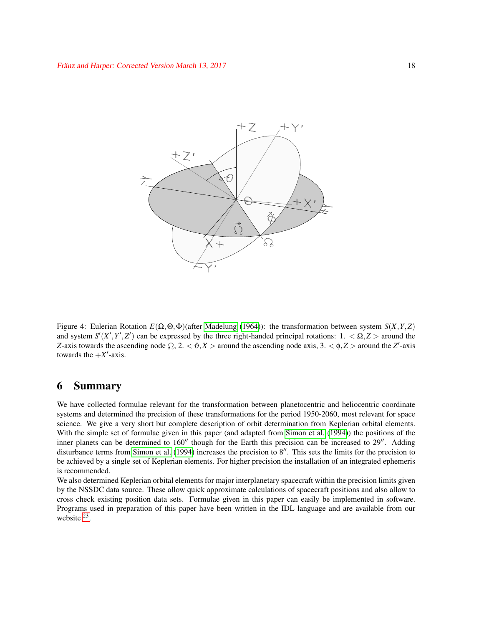

<span id="page-17-0"></span>Figure 4: Eulerian Rotation  $E(\Omega, \Theta, \Phi)$  (after [Madelung](#page-23-13) [\(1964\)](#page-23-13)): the transformation between system  $S(X, Y, Z)$ and system  $S'(X', Y', Z')$  can be expressed by the three right-handed principal rotations:  $1. < \Omega, Z >$  around the *Z*-axis towards the ascending node  $\Omega$ ,  $2 \times \vartheta$ ,  $X >$  around the ascending node axis,  $3 \times \varphi$ ,  $Z >$  around the *Z'*-axis towards the  $+X'$ -axis.

## 6 Summary

We have collected formulae relevant for the transformation between planetocentric and heliocentric coordinate systems and determined the precision of these transformations for the period 1950-2060, most relevant for space science. We give a very short but complete description of orbit determination from Keplerian orbital elements. With the simple set of formulae given in this paper (and adapted from [Simon et al.](#page-23-3) [\(1994\)](#page-23-3)) the positions of the inner planets can be determined to  $160''$  though for the Earth this precision can be increased to  $29''$ . Adding disturbance terms from [Simon et al.](#page-23-3) [\(1994\)](#page-23-3) increases the precision to  $8$ <sup>n</sup>. This sets the limits for the precision to be achieved by a single set of Keplerian elements. For higher precision the installation of an integrated ephemeris is recommended.

We also determined Keplerian orbital elements for major interplanetary spacecraft within the precision limits given by the NSSDC data source. These allow quick approximate calculations of spacecraft positions and also allow to cross check existing position data sets. Formulae given in this paper can easily be implemented in software. Programs used in preparation of this paper have been written in the IDL language and are available from our website  $^{23}$  $^{23}$  $^{23}$ .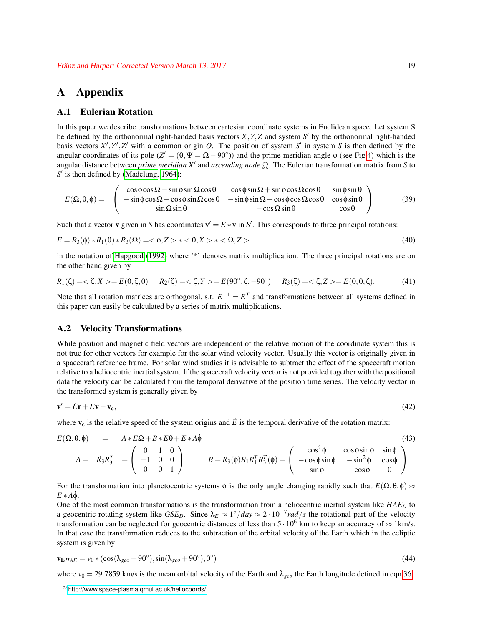## A Appendix

#### A.1 Eulerian Rotation

In this paper we describe transformations between cartesian coordinate systems in Euclidean space. Let system S be defined by the orthonormal right-handed basis vectors  $X, Y, Z$  and system  $S'$  by the orthonormal right-handed basis vectors  $X', Y', Z'$  with a common origin *O*. The position of system  $S'$  in system  $S$  is then defined by the angular coordinates of its pole  $(Z' = (\theta, \Psi = \Omega - 90^{\circ}))$  and the prime meridian angle  $\phi$  (see Fig[.4\)](#page-17-0) which is the angular distance between *prime meridian*  $X'$  and *ascending node*  $\Omega$ . The Eulerian transformation matrix from *S* to  $S'$  is then defined by [\(Madelung, 1964\)](#page-23-13):

$$
E(\Omega,\theta,\phi) = \begin{pmatrix} \cos\phi\cos\Omega - \sin\phi\sin\Omega\cos\theta & \cos\phi\sin\Omega + \sin\phi\cos\Omega\cos\theta & \sin\phi\sin\theta \\ -\sin\phi\cos\Omega - \cos\phi\sin\Omega\cos\theta & -\sin\phi\sin\Omega + \cos\phi\cos\Omega\cos\theta & \cos\phi\sin\theta \\ \sin\Omega\sin\theta & -\cos\Omega\sin\theta & \cos\theta \end{pmatrix}
$$
(39)

Such that a vector **v** given in *S* has coordinates  $\mathbf{v}' = E * \mathbf{v}$  in *S'*. This corresponds to three principal rotations:

$$
E = R_3(\phi) * R_1(\theta) * R_3(\Omega) = \langle \phi, Z \rangle * \langle \phi, X \rangle * \langle \Omega, Z \rangle \tag{40}
$$

in the notation of [Hapgood](#page-22-0) [\(1992\)](#page-22-0) where '\*' denotes matrix multiplication. The three principal rotations are on the other hand given by

$$
R_1(\zeta) = \langle \zeta, X \rangle = E(0, \zeta, 0) \qquad R_2(\zeta) = \langle \zeta, Y \rangle = E(90^\circ, \zeta, -90^\circ) \qquad R_3(\zeta) = \langle \zeta, Z \rangle = E(0, 0, \zeta). \tag{41}
$$

Note that all rotation matrices are orthogonal, s.t.  $E^{-1} = E^{T}$  and transformations between all systems defined in this paper can easily be calculated by a series of matrix multiplications.

#### A.2 Velocity Transformations

While position and magnetic field vectors are independent of the relative motion of the coordinate system this is not true for other vectors for example for the solar wind velocity vector. Usually this vector is originally given in a spacecraft reference frame. For solar wind studies it is advisable to subtract the effect of the spacecraft motion relative to a heliocentric inertial system. If the spacecraft velocity vector is not provided together with the positional data the velocity can be calculated from the temporal derivative of the position time series. The velocity vector in the transformed system is generally given by

$$
\mathbf{v}' = \dot{E}\mathbf{r} + E\mathbf{v} - \mathbf{v_c},\tag{42}
$$

where  $v_c$  is the relative speed of the system origins and  $\dot{E}$  is the temporal derivative of the rotation matrix:

$$
\dot{E}(\Omega,\theta,\phi) = A * E\dot{\Omega} + B * E\dot{\theta} + E * A\dot{\phi}
$$
\n(43)

$$
A = R_3 R_3^T = \begin{pmatrix} 0 & 1 & 0 \\ -1 & 0 & 0 \\ 0 & 0 & 1 \end{pmatrix} \qquad B = R_3(\phi) R_1 R_1^T R_3^T(\phi) = \begin{pmatrix} \cos^2 \phi & \cos \phi \sin \phi & \sin \phi \\ -\cos \phi \sin \phi & -\sin^2 \phi & \cos \phi \\ \sin \phi & -\cos \phi & 0 \end{pmatrix}
$$

For the transformation into planetocentric systems  $\phi$  is the only angle changing rapidly such that  $\dot{E}(\Omega,\theta,\phi) \approx$  $E * A\dot{\phi}$ .

One of the most common transformations is the transformation from a heliocentric inertial system like *HAE*<sub>*D*</sub> to a geocentric rotating system like *GSE<sub>D</sub>*. Since  $\lambda_E \approx 1^\circ / day \approx 2 \cdot 10^{-7} rad/s$  the rotational part of the velocity transformation can be neglected for geocentric distances of less than  $5 \cdot 10^6$  km to keep an accuracy of  $\approx 1$ km/s. In that case the transformation reduces to the subtraction of the orbital velocity of the Earth which in the ecliptic system is given by

$$
\mathbf{v}_{\mathbf{E}HAE} = v_0 * (\cos(\lambda_{geo} + 90^\circ), \sin(\lambda_{geo} + 90^\circ), 0^\circ)
$$
\n
$$
\tag{44}
$$

where  $v_0 = 29.7859$  km/s is the mean orbital velocity of the Earth and  $\lambda_{\text{geo}}$  the Earth longitude defined in eqn[.36.](#page-13-0)

<span id="page-18-0"></span><sup>23</sup><http://www.space-plasma.qmul.ac.uk/heliocoords/>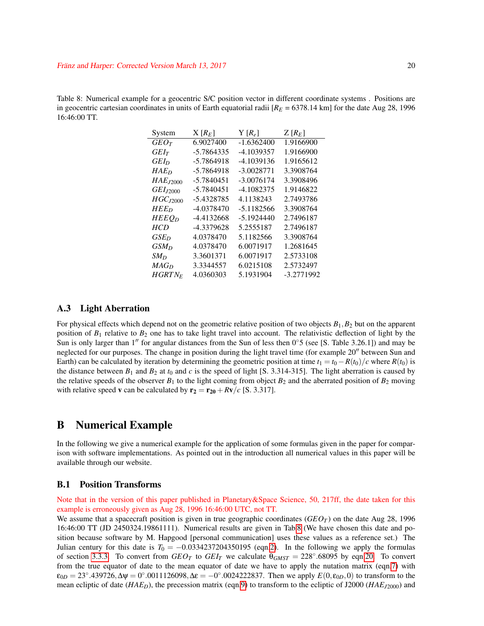<span id="page-19-1"></span>Table 8: Numerical example for a geocentric S/C position vector in different coordinate systems . Positions are in geocentric cartesian coordinates in units of Earth equatorial radii  $[R_E = 6378.14 \text{ km}]$  for the date Aug 28, 1996 16:46:00 TT.

| System               | $X[R_F]$   | $Y[R_{e}]$ | $Z[R_F]$   |
|----------------------|------------|------------|------------|
| $GEO\tau$            | 6.9027400  | -1.6362400 | 1.9166900  |
| $G E I_T$            | -5.7864335 | -4.1039357 | 1.9166900  |
| GEI <sub>D</sub>     | -5.7864918 | -4.1039136 | 1.9165612  |
| HAEn                 | -5.7864918 | -3.0028771 | 3.3908764  |
| $HAE_{I2000}$        | -5.7840451 | -3.0076174 | 3.3908496  |
| GEI <sub>I2000</sub> | -5.7840451 | -4.1082375 | 1.9146822  |
| HGC <sub>I2000</sub> | -5.4328785 | 4.1138243  | 2.7493786  |
| $HEE_D$              | -4.0378470 | -5.1182566 | 3.3908764  |
| $HEEO_D$             | -4.4132668 | -5.1924440 | 2.7496187  |
| HCD                  | -4.3379628 | 5.2555187  | 2.7496187  |
| $GSE_D$              | 4.0378470  | 5.1182566  | 3.3908764  |
| GSM <sub>D</sub>     | 4.0378470  | 6.0071917  | 1.2681645  |
| $SM_D$               | 3.3601371  | 6.0071917  | 2.5733108  |
| MAG <sub>D</sub>     | 3.3344557  | 6.0215108  | 2.5732497  |
| $HGRTN_F$            | 4.0360303  | 5.1931904  | -3.2771992 |

### <span id="page-19-0"></span>A.3 Light Aberration

For physical effects which depend not on the geometric relative position of two objects  $B_1$ ,  $B_2$  but on the apparent position of  $B_1$  relative to  $B_2$  one has to take light travel into account. The relativistic deflection of light by the Sun is only larger than 1<sup>n</sup> for angular distances from the Sun of less then  $0°5$  (see [S. Table 3.26.1]) and may be neglected for our purposes. The change in position during the light travel time (for example 20" between Sun and Earth) can be calculated by iteration by determining the geometric position at time  $t_1 = t_0 - R(t_0)/c$  where  $R(t_0)$  is the distance between  $B_1$  and  $B_2$  at  $t_0$  and  $c$  is the speed of light [S. 3.314-315]. The light aberration is caused by the relative speeds of the observer  $B_1$  to the light coming from object  $B_2$  and the aberrated position of  $B_2$  moving with relative speed **v** can be calculated by  $\mathbf{r}_2 = \mathbf{r}_{20} + R\mathbf{v}/c$  [S. 3.317].

### B Numerical Example

In the following we give a numerical example for the application of some formulas given in the paper for comparison with software implementations. As pointed out in the introduction all numerical values in this paper will be available through our website.

#### B.1 Position Transforms

Note that in the version of this paper published in Planetary&Space Science, 50, 217ff, the date taken for this example is erroneously given as Aug 28, 1996 16:46:00 UTC, not TT.

We assume that a spacecraft position is given in true geographic coordinates  $(GEO_T)$  on the date Aug 28, 1996 16:46:00 TT (JD 2450324.19861111). Numerical results are given in Tab[.8](#page-19-1) (We have chosen this date and position because software by M. Hapgood [personal communication] uses these values as a reference set.) The Julian century for this date is  $T_0 = -0.0334237204350195$  (eqn[.2\)](#page-2-6). In the following we apply the formulas of section [3.3.3.](#page-8-1) To convert from  $GEO_T$  to  $GEI_T$  we calculate  $\theta_{GMST} = 228^\circ.68095$  by eqn[.20.](#page-7-4) To convert from the true equator of date to the mean equator of date we have to apply the nutation matrix (eqn[.7\)](#page-3-2) with  $\varepsilon_{0D} = 23^{\circ}.439726, \Delta \psi = 0^{\circ}.0011126098, \Delta \varepsilon = -0^{\circ}.0024222837.$  Then we apply  $E(0, \varepsilon_{0D}, 0)$  to transform to the mean ecliptic of date (*HAED*), the precession matrix (eqn[.9\)](#page-3-3) to transform to the ecliptic of J2000 (*HAEJ*2000) and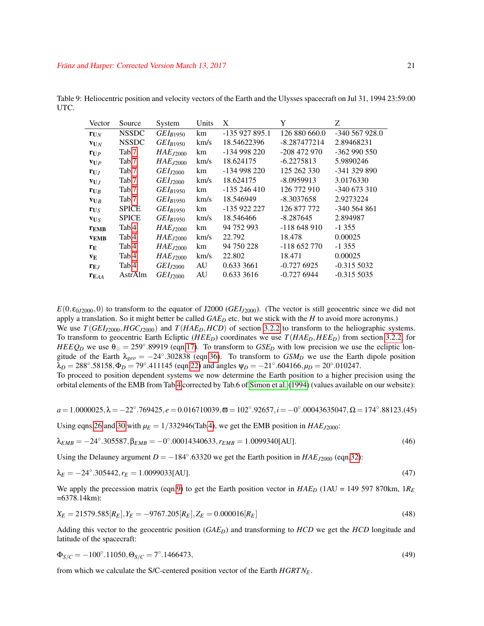| Vector                      | Source       | System        | Units | X              |                | Z              |
|-----------------------------|--------------|---------------|-------|----------------|----------------|----------------|
| ${\bf r}_{\text{U}N}$       | <b>NSSDC</b> | $GEI_{B1950}$ | km    | $-135927895.1$ | 126 880 660.0  | $-340567928.0$ |
| $vN$                        | <b>NSSDC</b> | $GEI_{B1950}$ | km/s  | 18.54622396    | $-8.287477214$ | 2.89468231     |
| $r_{UP}$                    | Tab.7        | $HAE_{J2000}$ | km    | -134 998 220   | $-208$ 472 970 | $-362990550$   |
| $V_{U}P$                    | Tab.7        | $HAE_{J2000}$ | km/s  | 18.624175      | $-6.2275813$   | 5.9890246      |
| $\mathbf{r}_{\mathbf{U},I}$ | Tab.7        | $GEI_{J2000}$ | km    | -134 998 220   | 125 262 330    | -341 329 890   |
| VUJ                         | Tab.7        | $GEI_{J2000}$ | km/s  | 18.624175      | $-8.0959913$   | 3.0176330      |
| $r_{UB}$                    | Tab.7        | $GEI_{B1950}$ | km    | $-135246410$   | 126 772 910    | $-340673310$   |
| $V_{UB}$                    | Tab.7        | $GEI_{B1950}$ | km/s  | 18.546949      | $-8.3037658$   | 2.9273224      |
| $r_{US}$                    | <b>SPICE</b> | $GEI_{B1950}$ | km    | -135 922 227   | 126 877 772    | $-340564861$   |
| $V_{US}$                    | <b>SPICE</b> | $GEI_{R1950}$ | km/s  | 18.546466      | $-8.287645$    | 2.894987       |
| $r_{EMB}$                   | Tab.4        | $HAE_{J2000}$ | km    | 94 752 993     | $-118648910$   | $-1355$        |
| <b>VEMB</b>                 | Tab.4        | $HAE_{J2000}$ | km/s  | 22.792         | 18.478         | 0.00025        |
| $r_{\rm E}$                 | Tab.4        | $HAE_{J2000}$ | km    | 94 750 228     | $-118652770$   | $-1355$        |
| VE.                         | Tab.4        | $HAE_{I2000}$ | km/s  | 22.802         | 18.471         | 0.00025        |
| $r_{EJ}$                    | Tab.4        | $GEI_{J2000}$ | AU    | 0.633 3661     | $-0.7276925$   | $-0.3155032$   |
| $r_{EAA}$                   | AstrAlm      | $GEI_{J2000}$ | AU    | 0.633 3616     | $-0.7276944$   | $-0.3155035$   |

<span id="page-20-0"></span>Table 9: Heliocentric position and velocity vectors of the Earth and the Ulysses spacecraft on Jul 31, 1994 23:59:00 UTC.

 $E(0, \epsilon_{0/2000}, 0)$  to transform to the equator of J2000 (*GEI<sub>J2000</sub>*). (The vector is still geocentric since we did not apply a translation. So it might better be called *GAE<sup>D</sup>* etc. but we stick with the *H* to avoid more acronyms.) We use  $T(GE1_{J2000}, HGC_{J2000})$  and  $T(HAE_D, HCD)$  of section [3.2.2](#page-6-1) to transform to the heliographic systems. To transform to geocentric Earth Ecliptic ( $HEED$ ) coordinates we use  $T(HAE_D,HEED)$  from section [3.2.2,](#page-6-1) for  $HEEQ$ <sup>*D*</sup> we use  $\theta_{\odot} = 259^{\circ}$ .89919 (eqn[.17\)](#page-6-0). To transform to  $GSE$ *D* with low precision we use the ecliptic longitude of the Earth  $\lambda_{geo} = -24^\circ.302838$  (eqn[.36\)](#page-13-0). To transform to  $GSM_D$  we use the Earth dipole position  $\lambda_D = 288^\circ.58158, \Phi_D = 79^\circ.411145$  (eqn[.22\)](#page-7-5) and angles  $\Psi_D = -21^\circ.604166, \mu_D = 20^\circ.010247$ . To proceed to position dependent systems we now determine the Earth position to a higher precision using the orbital elements of the EMB from Tab[.4](#page-12-0) corrected by Tab.6 of [Simon et al.](#page-23-3) [\(1994\)](#page-23-3) (values available on our website):

*a* = 1.0000025,λ = −22◦ .769425, *e* = 0.016710039,ϖ = 102◦ .92657,*i* = −0 ◦ .00043635047,Ω = 174◦ .88123.(45)

Using eqns[.26](#page-11-1) and [30](#page-12-1) with  $\mu_E = 1/332946$  (Tab[.4\)](#page-12-0), we get the EMB position in *HAE*<sub>*J*2000</sub>:

$$
\lambda_{EMB} = -24^{\circ}.305587, \beta_{EMB} = -0^{\circ}.00014340633, r_{EMB} = 1.0099340[\text{AU}].\tag{46}
$$

Using the Delauney argument  $D = -184^\circ$ .63320 we get the Earth position in  $HAE_{J2000}$  (eqn[.32\)](#page-13-3):

$$
\lambda_E = -24^{\circ}.305442, r_E = 1.0099033[\text{AU}].\tag{47}
$$

We apply the precession matrix (eqn[.9\)](#page-3-3) to get the Earth position vector in *HAE<sub>D</sub>* (1AU = 149 597 870km, 1R<sub>*E*</sub>  $=6378.14 \text{km}$ :

$$
X_E = 21579.585[R_E], Y_E = -9767.205[R_E], Z_E = 0.000016[R_E]
$$
\n
$$
(48)
$$

Adding this vector to the geocentric position (*GAED*) and transforming to *HCD* we get the *HCD* longitude and latitude of the spacecraft:

$$
\Phi_{S/C} = -100^{\circ}.11050, \Theta_{S/C} = 7^{\circ}.1466473,\tag{49}
$$

from which we calculate the S/C-centered position vector of the Earth *HGRTNE*.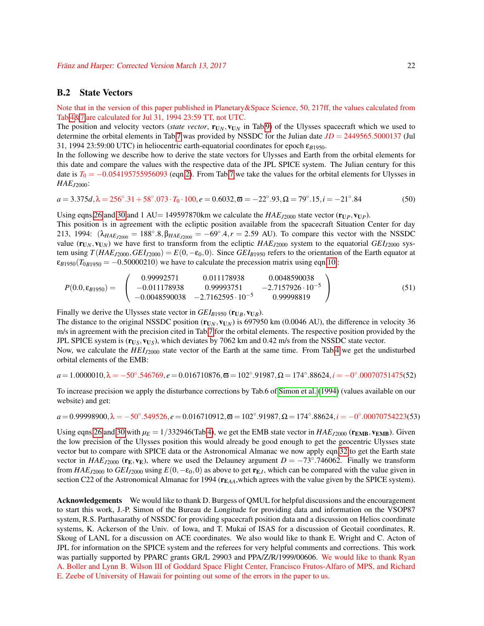### B.2 State Vectors

Note that in the version of this paper published in Planetary&Space Science, 50, 217ff, the values calculated from Tab[.4&](#page-12-0)[7](#page-16-0) are calculated for Jul 31, 1994 23:59 TT, not UTC.

The position and velocity vectors (*state vector*,  $\mathbf{r}_{\mathbf{U}_N},\mathbf{v}_{\mathbf{U}_N}$  in Tab[.9\)](#page-20-0) of the Ulysses spacecraft which we used to determine the orbital elements in Tab[.7](#page-16-0) was provided by NSSDC for the Julian date *JD* = 2449565.5000137 (Jul 31, 1994 23:59:00 UTC) in heliocentric earth-equatorial coordinates for epoch  $\varepsilon_{B1950}$ .

In the following we describe how to derive the state vectors for Ulysses and Earth from the orbital elements for this date and compare the values with the respective data of the JPL SPICE system. The Julian century for this date is  $T_0 = -0.054195755956093$  (eqn[.2\)](#page-2-6). From Tab[.7](#page-16-0) we take the values for the orbital elements for Ulysses in *HAEJ*2000:

 $a = 3.375d$ ,  $\lambda = 256°.31 + 58°.073 \cdot T_0 \cdot 100$ ,  $e = 0.6032$ ,  $\overline{\omega} = -22°.93$ ,  $\Omega = 79°.15$ ,  $i = -21°$  $(50)$ 

Using eqns[.26](#page-11-1) and [30](#page-12-1) and 1 AU = 149597870km we calculate the  $HAE_{J2000}$  state vector ( $\mathbf{r}_{UP}$ ,  $\mathbf{v}_{UP}$ ).

This position is in agreement with the ecliptic position available from the spacecraft Situation Center for day 213, 1994:  $(\lambda_{HAE_{J2000}} = 188°.8, \beta_{HAE_{J2000}} = -69°.4, r = 2.59$  AU). To compare this vector with the NSSDC value  $(\mathbf{r}_{UN}, \mathbf{v}_{UN})$  we have first to transform from the ecliptic  $HAE_{J2000}$  system to the equatorial  $GEI_{J2000}$  system using  $T(HAE_{J2000}, GEI_{J2000}) = E(0, -\epsilon_0, 0)$ . Since  $GEI_{B1950}$  refers to the orientation of the Earth equator at  $\varepsilon_{B1950}(T_{0B1950} = -0.50000210)$  we have to calculate the precession matrix using eqn[.10](#page-3-1) :

$$
P(0.0, \varepsilon_{B1950}) = \begin{pmatrix} 0.99992571 & 0.011178938 & 0.0048590038 \\ -0.011178938 & 0.99993751 & -2.7157926 \cdot 10^{-5} \\ -0.0048590038 & -2.7162595 \cdot 10^{-5} & 0.99998819 \end{pmatrix}
$$
(51)

Finally we derive the Ulysses state vector in  $GEI_{B1950}$  ( $\mathbf{r}_{UB}, \mathbf{v}_{UB}$ ).

The distance to the original NSSDC position  $(\mathbf{r}_{UN}, \mathbf{v}_{UN})$  is 697950 km (0.0046 AU), the difference in velocity 36 m/s in agreement with the precision cited in Tab[.7](#page-16-0) for the orbital elements. The respective position provided by the JPL SPICE system is ( $\mathbf{r}_{\text{U}_S}, \mathbf{v}_{\text{U}_S}$ ), which deviates by 7062 km and 0.42 m/s from the NSSDC state vector.

Now, we calculate the *HEI*<sub>*J*2000</sub> state vector of the Earth at the same time. From Tab[.4](#page-12-0) we get the undisturbed orbital elements of the EMB:

$$
a = 1.0000010, \lambda = -50^{\circ}.546769, e = 0.016710876, \overline{\omega} = 102^{\circ}.91987, \Omega = 174^{\circ}.88624, i = -0^{\circ}.00070751475(52)
$$

To increase precision we apply the disturbance corrections by Tab.6 of [Simon et al.](#page-23-3) [\(1994\)](#page-23-3) (values available on our website) and get:

 $a = 0.99998900, \lambda = -50°.549526, e = 0.016710912, \overline{\omega} = 102°.91987, \Omega = 174°.88624, i = -0°.00070754223(53)$ 

Using eqns[.26](#page-11-1) and [30](#page-12-1) with  $\mu_E = 1/332946$  (Tab[.4\)](#page-12-0), we get the EMB state vector in  $HAE_{J2000}$  ( $\mathbf{r}_{EMB}$ ,  $\mathbf{v}_{EMB}$ ). Given the low precision of the Ulysses position this would already be good enough to get the geocentric Ulysses state vector but to compare with SPICE data or the Astronomical Almanac we now apply eqn[.32](#page-13-3) to get the Earth state vector in  $HAE_{J2000}$  ( $\mathbf{r}_\text{E}$ ,  $\mathbf{v}_\text{E}$ ), where we used the Delauney argument  $D = -73^\circ.746062$ . Finally we transform from  $HAE_{J2000}$  to  $GEI_{J2000}$  using  $E(0, -\epsilon_0, 0)$  as above to get  $\mathbf{r}_{EJ}$ , which can be compared with the value given in section C22 of the Astronomical Almanac for 1994 ( $r_{EAA}$ , which agrees with the value given by the SPICE system).

Acknowledgements We would like to thank D. Burgess of QMUL for helpful discussions and the encouragement to start this work, J.-P. Simon of the Bureau de Longitude for providing data and information on the VSOP87 system, R.S. Parthasarathy of NSSDC for providing spacecraft position data and a discussion on Helios coordinate systems, K. Ackerson of the Univ. of Iowa, and T. Mukai of ISAS for a discussion of Geotail coordinates, R. Skoug of LANL for a discussion on ACE coordinates. We also would like to thank E. Wright and C. Acton of JPL for information on the SPICE system and the referees for very helpful comments and corrections. This work was partially supported by PPARC grants GR/L 29903 and PPA/Z/R/1999/00606. We would like to thank Ryan A. Boller and Lynn B. Wilson III of Goddard Space Flight Center, Francisco Frutos-Alfaro of MPS, and Richard E. Zeebe of University of Hawaii for pointing out some of the errors in the paper to us.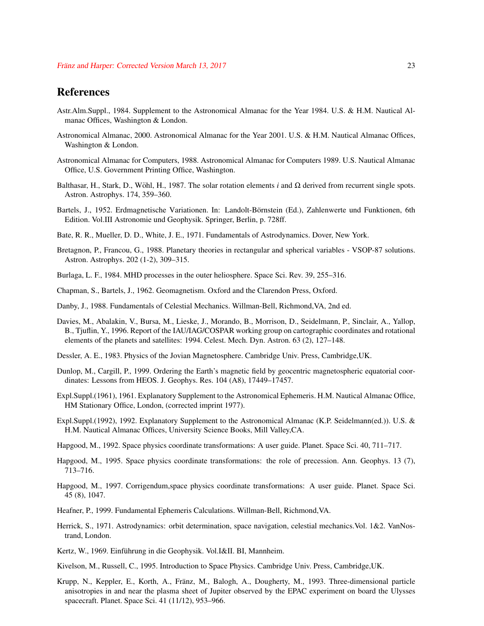### References

- <span id="page-22-3"></span>Astr.Alm.Suppl., 1984. Supplement to the Astronomical Almanac for the Year 1984. U.S. & H.M. Nautical Almanac Offices, Washington & London.
- <span id="page-22-1"></span>Astronomical Almanac, 2000. Astronomical Almanac for the Year 2001. U.S. & H.M. Nautical Almanac Offices, Washington & London.
- <span id="page-22-6"></span>Astronomical Almanac for Computers, 1988. Astronomical Almanac for Computers 1989. U.S. Nautical Almanac Office, U.S. Government Printing Office, Washington.
- <span id="page-22-10"></span>Balthasar, H., Stark, D., Wöhl, H., 1987. The solar rotation elements i and  $\Omega$  derived from recurrent single spots. Astron. Astrophys. 174, 359–360.
- <span id="page-22-11"></span>Bartels, J., 1952. Erdmagnetische Variationen. In: Landolt-Börnstein (Ed.), Zahlenwerte und Funktionen, 6th Edition. Vol.III Astronomie und Geophysik. Springer, Berlin, p. 728ff.
- <span id="page-22-17"></span>Bate, R. R., Mueller, D. D., White, J. E., 1971. Fundamentals of Astrodynamics. Dover, New York.
- <span id="page-22-4"></span>Bretagnon, P., Francou, G., 1988. Planetary theories in rectangular and spherical variables - VSOP-87 solutions. Astron. Astrophys. 202 (1-2), 309–315.
- <span id="page-22-12"></span>Burlaga, L. F., 1984. MHD processes in the outer heliosphere. Space Sci. Rev. 39, 255–316.
- <span id="page-22-15"></span>Chapman, S., Bartels, J., 1962. Geomagnetism. Oxford and the Clarendon Press, Oxford.
- <span id="page-22-18"></span>Danby, J., 1988. Fundamentals of Celestial Mechanics. Willman-Bell, Richmond,VA, 2nd ed.
- <span id="page-22-20"></span>Davies, M., Abalakin, V., Bursa, M., Lieske, J., Morando, B., Morrison, D., Seidelmann, P., Sinclair, A., Yallop, B., Tjuflin, Y., 1996. Report of the IAU/IAG/COSPAR working group on cartographic coordinates and rotational elements of the planets and satellites: 1994. Celest. Mech. Dyn. Astron. 63 (2), 127–148.
- <span id="page-22-22"></span>Dessler, A. E., 1983. Physics of the Jovian Magnetosphere. Cambridge Univ. Press, Cambridge,UK.
- <span id="page-22-16"></span>Dunlop, M., Cargill, P., 1999. Ordering the Earth's magnetic field by geocentric magnetospheric equatorial coordinates: Lessons from HEOS. J. Geophys. Res. 104 (A8), 17449–17457.
- <span id="page-22-7"></span>Expl.Suppl.(1961), 1961. Explanatory Supplement to the Astronomical Ephemeris. H.M. Nautical Almanac Office, HM Stationary Office, London, (corrected imprint 1977).
- <span id="page-22-2"></span>Expl.Suppl.(1992), 1992. Explanatory Supplement to the Astronomical Almanac (K.P. Seidelmann(ed.)). U.S. & H.M. Nautical Almanac Offices, University Science Books, Mill Valley,CA.
- <span id="page-22-0"></span>Hapgood, M., 1992. Space physics coordinate transformations: A user guide. Planet. Space Sci. 40, 711–717.
- <span id="page-22-9"></span>Hapgood, M., 1995. Space physics coordinate transformations: the role of precession. Ann. Geophys. 13 (7), 713–716.
- <span id="page-22-8"></span>Hapgood, M., 1997. Corrigendum,space physics coordinate transformations: A user guide. Planet. Space Sci. 45 (8), 1047.
- <span id="page-22-5"></span>Heafner, P., 1999. Fundamental Ephemeris Calculations. Willman-Bell, Richmond,VA.
- <span id="page-22-19"></span>Herrick, S., 1971. Astrodynamics: orbit determination, space navigation, celestial mechanics.Vol. 1&2. VanNostrand, London.
- <span id="page-22-14"></span>Kertz, W., 1969. Einführung in die Geophysik. Vol.I&II. BI, Mannheim.
- <span id="page-22-13"></span>Kivelson, M., Russell, C., 1995. Introduction to Space Physics. Cambridge Univ. Press, Cambridge,UK.
- <span id="page-22-21"></span>Krupp, N., Keppler, E., Korth, A., Fränz, M., Balogh, A., Dougherty, M., 1993. Three-dimensional particle anisotropies in and near the plasma sheet of Jupiter observed by the EPAC experiment on board the Ulysses spacecraft. Planet. Space Sci. 41 (11/12), 953–966.